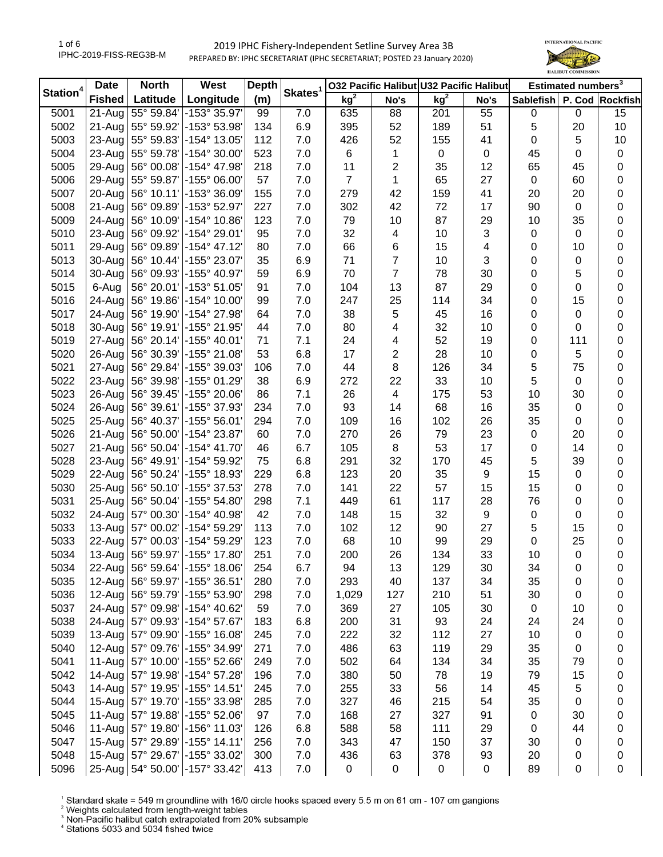

| Station <sup>4</sup> | <b>Date</b>   | <b>North</b>        | West                               | <b>Depth</b> |                     |                 | 032 Pacific Halibut U32 Pacific Halibut |                 |                | Estimated numbers <sup>3</sup> |                  |                  |
|----------------------|---------------|---------------------|------------------------------------|--------------|---------------------|-----------------|-----------------------------------------|-----------------|----------------|--------------------------------|------------------|------------------|
|                      | <b>Fished</b> | Latitude            | Longitude                          | (m)          | Skates <sup>1</sup> | kg <sup>2</sup> | No's                                    | kg <sup>2</sup> | No's           | Sablefish                      |                  | P. Cod Rockfish  |
| 5001                 | 21-Aug        | 55° 59.84'          | -153° 35.97'                       | 99           | 7.0                 | 635             | 88                                      | 201             | 55             | 0                              | $\mathbf 0$      | 15               |
| 5002                 | 21-Aug        | 55° 59.92'          | -153° 53.98'                       | 134          | 6.9                 | 395             | 52                                      | 189             | 51             | 5                              | 20               | 10               |
| 5003                 | 23-Aug        | 55° 59.83'          | -154° 13.05'                       | 112          | 7.0                 | 426             | 52                                      | 155             | 41             | 0                              | 5                | 10               |
| 5004                 | 23-Aug        | 55° 59.78'          | -154° 30.00'                       | 523          | 7.0                 | 6               | 1                                       | $\pmb{0}$       | $\mathbf 0$    | 45                             | 0                | $\pmb{0}$        |
| 5005                 | 29-Aug        | 56° 00.08'          | -154° 47.98'                       | 218          | 7.0                 | 11              | 2                                       | 35              | 12             | 65                             | 45               | 0                |
| 5006                 | 29-Aug        | 55° 59.87'          | -155° 06.00'                       | 57           | 7.0                 | $\overline{7}$  | 1                                       | 65              | 27             | $\mathbf 0$                    | 60               | 0                |
| 5007                 | 20-Aug        | 56° 10.11'          | -153° 36.09'                       | 155          | 7.0                 | 279             | 42                                      | 159             | 41             | 20                             | 20               | 0                |
| 5008                 | 21-Aug        | 56° 09.89'          | -153° 52.97                        | 227          | 7.0                 | 302             | 42                                      | 72              | 17             | 90                             | $\pmb{0}$        | 0                |
| 5009                 | 24-Aug        | 56° 10.09'          | -154° 10.86'                       | 123          | 7.0                 | 79              | 10                                      | 87              | 29             | 10                             | 35               | 0                |
| 5010                 | 23-Aug        | 56° 09.92'          | $-154^{\circ} 29.01'$              | 95           | 7.0                 | 32              | 4                                       | 10              | $\mathfrak{S}$ | 0                              | 0                | 0                |
| 5011                 | 29-Aug        | 56° 09.89'          | -154° 47.12'                       | 80           | 7.0                 | 66              | 6                                       | 15              | 4              | 0                              | 10               | 0                |
| 5013                 | 30-Aug        | 56° 10.44'          | -155° 23.07'                       | 35           | 6.9                 | 71              | $\overline{7}$                          | 10              | 3              | 0                              | 0                | $\boldsymbol{0}$ |
| 5014                 | 30-Aug        | 56° 09.93'          | -155° 40.97'                       | 59           | 6.9                 | 70              | $\overline{7}$                          | 78              | 30             | 0                              | 5                | $\boldsymbol{0}$ |
| 5015                 | 6-Aug         | 56° 20.01'          | $-153^{\circ} 51.05'$              | 91           | 7.0                 | 104             | 13                                      | 87              | 29             | 0                              | 0                | $\boldsymbol{0}$ |
| 5016                 | 24-Aug        | 56° 19.86'          | -154° 10.00'                       | 99           | 7.0                 | 247             | 25                                      | 114             | 34             | 0                              | 15               | $\boldsymbol{0}$ |
| 5017                 | 24-Aug        | 56° 19.90'          | -154° 27.98'                       | 64           | 7.0                 | 38              | 5                                       | 45              | 16             | 0                              | 0                | $\boldsymbol{0}$ |
| 5018                 | 30-Aug        | 56° 19.91'          | -155° 21.95'                       | 44           | 7.0                 | 80              | 4                                       | 32              | 10             | 0                              | 0                | 0                |
| 5019                 | 27-Aug        | 56° 20.14'          | -155° 40.01'                       | 71           | 7.1                 | 24              | 4                                       | 52              | 19             | 0                              | 111              | 0                |
| 5020                 | 26-Aug        | 56° 30.39'          | -155° 21.08'                       | 53           | 6.8                 | 17              | 2                                       | 28              | 10             | 0                              | 5                | 0                |
| 5021                 | 27-Aug        | 56° 29.84'          | -155° 39.03'                       | 106          | 7.0                 | 44              | 8                                       | 126             | 34             | 5                              | 75               | 0                |
| 5022                 | 23-Aug        | 56° 39.98'          | -155° 01.29'                       | 38           | 6.9                 | 272             | 22                                      | 33              | 10             | 5                              | 0                | 0                |
| 5023                 | 26-Aug        | 56° 39.45'          | -155° 20.06'                       | 86           | 7.1                 | 26              | 4                                       | 175             | 53             | 10                             | 30               | 0                |
| 5024                 | 26-Aug        | 56° 39.61'          | -155° 37.93'                       | 234          | 7.0                 | 93              | 14                                      | 68              | 16             | 35                             | $\boldsymbol{0}$ | 0                |
| 5025                 | $25 - Aug$    | 56° 40.37'          | $-155^{\circ}56.01$                | 294          | 7.0                 | 109             | 16                                      | 102             | 26             | 35                             | 0                | 0                |
| 5026                 | 21-Aug        | 56° 50.00'          | -154° 23.87'                       | 60           | 7.0                 | 270             | 26                                      | 79              | 23             | $\pmb{0}$                      | 20               | $\boldsymbol{0}$ |
| 5027                 | 21-Aug        | 56° 50.04'          | -154° 41.70'                       | 46           | 6.7                 | 105             | 8                                       | 53              | 17             | 0                              | 14               | $\boldsymbol{0}$ |
| 5028                 | 23-Aug        | 56° 49.91'          | -154° 59.92'                       | 75           | 6.8                 | 291             | 32                                      | 170             | 45             | 5                              | 39               | $\boldsymbol{0}$ |
| 5029                 | 22-Aug        | 56° 50.24'          | -155° 18.93'                       | 229          | 6.8                 | 123             | 20                                      | 35              | 9              | 15                             | 0                | $\boldsymbol{0}$ |
| 5030                 | 25-Aug        | 56° 50.10'          | -155° 37.53'                       | 278          | 7.0                 | 141             | 22                                      | 57              | 15             | 15                             | 0                | $\pmb{0}$        |
| 5031                 | $25 - Aug$    | 56° 50.04'          | -155° 54.80'                       | 298          | 7.1                 | 449             | 61                                      | 117             | 28             | 76                             | 0                | $\boldsymbol{0}$ |
| 5032                 | 24-Aug        | 57° 00.30'          | -154° 40.98'                       | 42           | 7.0                 | 148             | 15                                      | 32              | 9              | $\mathsf 0$                    | 0                | $\boldsymbol{0}$ |
| 5033                 | 13-Aug        | 57° 00.02'          | -154° 59.29'                       | 113          | 7.0                 | 102             | 12                                      | 90              | 27             | 5                              | 15               | 0                |
| 5033                 | 22-Aug        | 57° 00.03'          | -154° 59.29'                       | 123          | 7.0                 | 68              | 10                                      | 99              | 29             | 0                              | 25               | 0                |
| 5034                 | 13-Aug        |                     | 56° 59.97' - 155° 17.80'           | 251          | 7.0                 | 200             | 26                                      | 134             | 33             | 10                             | $\mathbf 0$      | $\boldsymbol{0}$ |
| 5034                 |               |                     | 22-Aug 56° 59.64' -155° 18.06'     | 254          | 6.7                 | 94              | 13                                      | 129             | 30             | 34                             | 0                | 0                |
| 5035                 | $12-Au$ g     |                     | 56° 59.97' - 155° 36.51'           | 280          | 7.0                 | 293             | 40                                      | 137             | 34             | 35                             | 0                | 0                |
| 5036                 |               | 12-Aug 56° 59.79'   | -155° 53.90'                       | 298          | 7.0                 | 1,029           | 127                                     | 210             | 51             | 30                             | 0                | 0                |
| 5037                 |               | 24-Aug 57° 09.98'   | -154° 40.62'                       | 59           | 7.0                 | 369             | 27                                      | 105             | 30             | 0                              | 10               | 0                |
| 5038                 |               | 24-Aug 57° 09.93'   | -154° 57.67'                       | 183          | 6.8                 | 200             | 31                                      | 93              | 24             | 24                             | 24               | 0                |
| 5039                 |               | 13-Aug   57° 09.90' | -155° 16.08'                       | 245          | 7.0                 | 222             | 32                                      | 112             | 27             | 10                             | 0                | 0                |
| 5040                 |               | 12-Aug   57° 09.76' | -155° 34.99'                       | 271          | 7.0                 | 486             | 63                                      | 119             | 29             | 35                             | 0                | 0                |
| 5041                 |               |                     | 11-Aug 57° 10.00' -155° 52.66'     | 249          | 7.0                 | 502             | 64                                      | 134             | 34             | 35                             | 79               | 0                |
| 5042                 | 14-Aug        | 57° 19.98'          | -154° 57.28'                       | 196          | 7.0                 | 380             | 50                                      | 78              | 19             | 79                             | 15               | 0                |
| 5043                 | 14-Aug        |                     | 57° 19.95' - 155° 14.51'           | 245          | 7.0                 | 255             | 33                                      | 56              | 14             | 45                             | 5                | 0                |
| 5044                 |               |                     | 15-Aug   57° 19.70' - 155° 33.98'  | 285          | 7.0                 | 327             | 46                                      | 215             | 54             | 35                             | 0                | 0                |
| 5045                 |               | 11-Aug 57° 19.88'   | -155° 52.06'                       | 97           | 7.0                 | 168             | 27                                      | 327             | 91             | 0                              | 30               | 0                |
| 5046                 |               | 11-Aug 57° 19.80'   | -156° 11.03'                       | 126          | 6.8                 | 588             | 58                                      | 111             | 29             | $\pmb{0}$                      | 44               | 0                |
| 5047                 |               | 15-Aug   57° 29.89' | -155° 14.11'                       | 256          | 7.0                 | 343             | 47                                      | 150             | 37             | 30                             | 0                | 0                |
| 5048                 |               |                     | 15-Aug   57° 29.67'   -155° 33.02' | 300          | 7.0                 | 436             | 63                                      | 378             | 93             | 20                             | 0                | 0                |
| 5096                 |               |                     | 25-Aug 54° 50.00' - 157° 33.42'    | 413          | 7.0                 | 0               | $\pmb{0}$                               | $\pmb{0}$       | 0              | 89                             | 0                | 0                |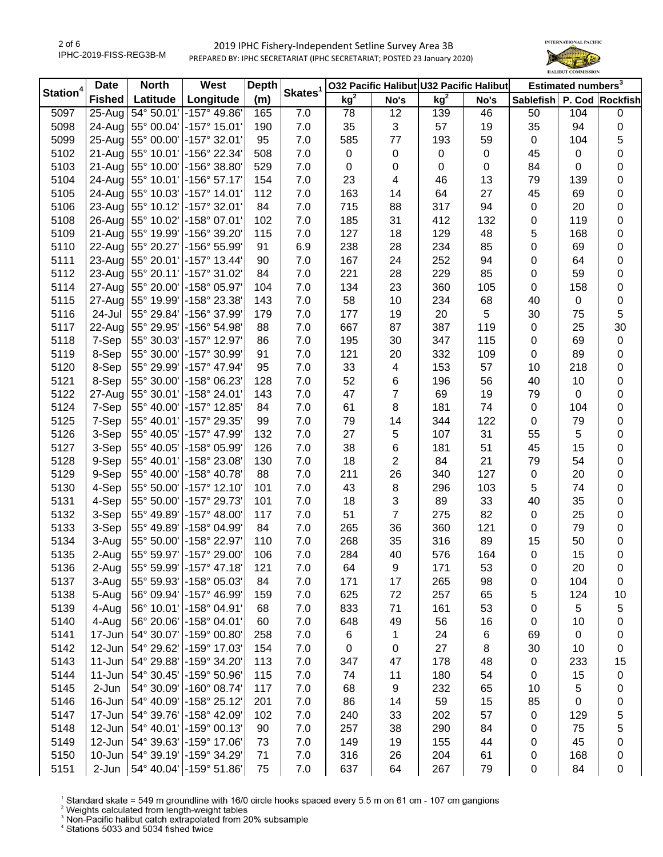

| Station <sup>4</sup> | <b>Date</b>   | <b>North</b>        | West                               | <b>Depth</b> |                     | 032 Pacific Halibut U32 Pacific Halibut |                |        |             | Estimated numbers <sup>3</sup> |     |                  |
|----------------------|---------------|---------------------|------------------------------------|--------------|---------------------|-----------------------------------------|----------------|--------|-------------|--------------------------------|-----|------------------|
|                      | <b>Fished</b> | Latitude            | Longitude                          | (m)          | Skates <sup>1</sup> | kg <sup>2</sup>                         | No's           | $kg^2$ | No's        | Sablefish                      |     | P. Cod Rockfish  |
| 5097                 | $25 - Aug$    | 54° 50.01'          | $-157^{\circ}$ 49.86               | 165          | 7.0                 | 78                                      | 12             | 139    | 46          | 50                             | 104 | $\boldsymbol{0}$ |
| 5098                 | 24-Aug        | 55° 00.04'          | -157° 15.01'                       | 190          | 7.0                 | 35                                      | 3              | 57     | 19          | 35                             | 94  | $\pmb{0}$        |
| 5099                 | $25 - Aug$    | 55° 00.00'          | -157° 32.01'                       | 95           | 7.0                 | 585                                     | 77             | 193    | 59          | $\mathbf 0$                    | 104 | 5                |
| 5102                 | 21-Aug        | 55° 10.01'          | -156° 22.34'                       | 508          | 7.0                 | $\pmb{0}$                               | $\pmb{0}$      | 0      | $\mathbf 0$ | 45                             | 0   | 0                |
| 5103                 | 21-Aug        | 55° 10.00'          | -156° 38.80'                       | 529          | 7.0                 | 0                                       | 0              | 0      | 0           | 84                             | 0   | 0                |
| 5104                 | 24-Aug        | 55° 10.01'          | $-156°57.17'$                      | 154          | 7.0                 | 23                                      | 4              | 46     | 13          | 79                             | 139 | 0                |
| 5105                 | 24-Aug        | 55° 10.03'          | $-157^{\circ}$ 14.01               | 112          | 7.0                 | 163                                     | 14             | 64     | 27          | 45                             | 69  | 0                |
| 5106                 | 23-Aug        | 55° 10.12'          | $-157^{\circ}$ 32.01               | 84           | 7.0                 | 715                                     | 88             | 317    | 94          | $\pmb{0}$                      | 20  | $\boldsymbol{0}$ |
| 5108                 | 26-Aug        | 55° 10.02'          | -158° 07.01'                       | 102          | 7.0                 | 185                                     | 31             | 412    | 132         | $\pmb{0}$                      | 119 | 0                |
| 5109                 | 21-Aug        | 55° 19.99'          | -156° 39.20'                       | 115          | 7.0                 | 127                                     | 18             | 129    | 48          | 5                              | 168 | 0                |
| 5110                 | 22-Aug        | 55° 20.27'          | -156° 55.99'                       | 91           | 6.9                 | 238                                     | 28             | 234    | 85          | 0                              | 69  | $\boldsymbol{0}$ |
| 5111                 | 23-Aug        | 55° 20.01'          | -157° 13.44'                       | 90           | 7.0                 | 167                                     | 24             | 252    | 94          | 0                              | 64  | $\pmb{0}$        |
| 5112                 | 23-Aug        | 55° 20.11'          | -157° 31.02'                       | 84           | 7.0                 | 221                                     | 28             | 229    | 85          | 0                              | 59  | $\boldsymbol{0}$ |
| 5114                 | 27-Aug        | 55° 20.00'          | -158° 05.97'                       | 104          | 7.0                 | 134                                     | 23             | 360    | 105         | 0                              | 158 | $\boldsymbol{0}$ |
| 5115                 | 27-Aug        | 55° 19.99'          | -158° 23.38'                       | 143          | 7.0                 | 58                                      | 10             | 234    | 68          | 40                             | 0   | $\boldsymbol{0}$ |
| 5116                 | 24-Jul        | 55° 29.84'          | -156° 37.99'                       | 179          | 7.0                 | 177                                     | 19             | 20     | 5           | 30                             | 75  | 5                |
| 5117                 | 22-Aug        | 55° 29.95'          | -156° 54.98'                       | 88           | 7.0                 | 667                                     | 87             | 387    | 119         | $\pmb{0}$                      | 25  | 30               |
| 5118                 | 7-Sep         | 55° 30.03'          | -157° 12.97'                       | 86           | 7.0                 | 195                                     | 30             | 347    | 115         | 0                              | 69  | $\boldsymbol{0}$ |
| 5119                 | 8-Sep         | 55° 30.00'          | -157° 30.99'                       | 91           | 7.0                 | 121                                     | 20             | 332    | 109         | 0                              | 89  | 0                |
| 5120                 | 8-Sep         | 55° 29.99'          | -157° 47.94'                       | 95           | 7.0                 | 33                                      | 4              | 153    | 57          | 10                             | 218 | $\boldsymbol{0}$ |
| 5121                 | 8-Sep         | 55° 30.00'          | -158° 06.23'                       | 128          | 7.0                 | 52                                      | 6              | 196    | 56          | 40                             | 10  | 0                |
| 5122                 | 27-Aug        | 55° 30.01'          | $-158°24.01'$                      | 143          | 7.0                 | 47                                      | 7              | 69     | 19          | 79                             | 0   | 0                |
| 5124                 | 7-Sep         | 55° 40.00'          | -157° 12.85'                       | 84           | 7.0                 | 61                                      | 8              | 181    | 74          | $\pmb{0}$                      | 104 | 0                |
| 5125                 | 7-Sep         | 55° 40.01'          | -157° 29.35'                       | 99           | 7.0                 | 79                                      | 14             | 344    | 122         | $\pmb{0}$                      | 79  | 0                |
| 5126                 | 3-Sep         | 55° 40.05'          | -157° 47.99'                       | 132          | 7.0                 | 27                                      | 5              | 107    | 31          | 55                             | 5   | 0                |
| 5127                 | 3-Sep         | 55° 40.05'          | -158° 05.99'                       | 126          | 7.0                 | 38                                      | 6              | 181    | 51          | 45                             | 15  | $\boldsymbol{0}$ |
| 5128                 | 9-Sep         | 55° 40.01'          | -158° 23.08'                       | 130          | 7.0                 | 18                                      | $\mathbf{2}$   | 84     | 21          | 79                             | 54  | $\pmb{0}$        |
| 5129                 | 9-Sep         | 55° 40.00'          | -158° 40.78'                       | 88           | 7.0                 | 211                                     | 26             | 340    | 127         | $\pmb{0}$                      | 20  | $\pmb{0}$        |
| 5130                 | 4-Sep         | 55° 50.00'          | -157° 12.10'                       | 101          | 7.0                 | 43                                      | $\bf 8$        | 296    | 103         | 5                              | 74  | $\pmb{0}$        |
| 5131                 | 4-Sep         | 55° 50.00'          | -157° 29.73'                       | 101          | 7.0                 | 18                                      | 3              | 89     | 33          | 40                             | 35  | $\pmb{0}$        |
| 5132                 | 3-Sep         | 55° 49.89'          | $-157^{\circ}$ 48.00               | 117          | 7.0                 | 51                                      | $\overline{7}$ | 275    | 82          | $\mathbf 0$                    | 25  | $\boldsymbol{0}$ |
| 5133                 | 3-Sep         | 55° 49.89'          | -158° 04.99                        | 84           | 7.0                 | 265                                     | 36             | 360    | 121         | 0                              | 79  | 0                |
| 5134                 | 3-Aug         | 55° 50.00'          | -158° 22.97'                       | 110          | 7.0                 | 268                                     | 35             | 316    | 89          | 15                             | 50  | 0                |
| 5135                 | 2-Aug         |                     | 55° 59.97' - 157° 29.00'           | 106          | 7.0                 | 284                                     | 40             | 576    | 164         | 0                              | 15  | $\boldsymbol{0}$ |
| 5136                 | 2-Aug         |                     | 55° 59.99' - 157° 47.18'           | 121          | 7.0                 | 64                                      | 9              | 171    | 53          | 0                              | 20  | 0                |
| 5137                 | 3-Aug         |                     | 55° 59.93' - 158° 05.03'           | 84           | 7.0                 | 171                                     | 17             | 265    | 98          | 0                              | 104 | 0                |
| 5138                 | 5-Aug         |                     | 56° 09.94' - 157° 46.99'           | 159          | 7.0                 | 625                                     | 72             | 257    | 65          | 5                              | 124 | 10               |
| 5139                 | 4-Aug         | 56° 10.01'          | -158° 04.91'                       | 68           | 7.0                 | 833                                     | 71             | 161    | 53          | 0                              | 5   | 5                |
| 5140                 | 4-Aug         | 56° 20.06'          | -158° 04.01'                       | 60           | 7.0                 | 648                                     | 49             | 56     | 16          | 0                              | 10  | 0                |
| 5141                 | 17-Jun        | 54° 30.07'          | -159° 00.80'                       | 258          | 7.0                 | 6                                       | 1              | 24     | 6           | 69                             | 0   | 0                |
| 5142                 |               | 12-Jun   54° 29.62' | -159° 17.03'                       | 154          | 7.0                 | 0                                       | 0              | 27     | 8           | 30                             | 10  | 0                |
| 5143                 | $11 - Jun$    | 54° 29.88'          | -159° 34.20'                       | 113          | 7.0                 | 347                                     | 47             | 178    | 48          | $\pmb{0}$                      | 233 | 15               |
| 5144                 | $11 - Jun$    | 54° 30.45'          | -159° 50.96'                       | 115          | 7.0                 | 74                                      | 11             | 180    | 54          | $\pmb{0}$                      | 15  | 0                |
| 5145                 | 2-Jun         | 54° 30.09'          | -160° 08.74'                       | 117          | 7.0                 | 68                                      | 9              | 232    | 65          | 10                             | 5   | 0                |
| 5146                 | 16-Jun        | 54° 40.09'          | -158° 25.12'                       | 201          | 7.0                 | 86                                      | 14             | 59     | 15          | 85                             | 0   | 0                |
| 5147                 | 17-Jun        | 54° 39.76'          | -158° 42.09'                       | 102          | 7.0                 | 240                                     | 33             | 202    | 57          | 0                              | 129 | 5                |
| 5148                 |               | 12-Jun 54° 40.01'   | -159° 00.13'                       | 90           | 7.0                 | 257                                     | 38             | 290    | 84          | 0                              | 75  | 5                |
| 5149                 |               | 12-Jun   54° 39.63' | -159° 17.06'                       | 73           | 7.0                 | 149                                     | 19             | 155    | 44          | 0                              | 45  | 0                |
| 5150                 |               |                     | 10-Jun   54° 39.19'   -159° 34.29' | 71           | 7.0                 | 316                                     | 26             | 204    | 61          | 0                              | 168 | 0                |
| 5151                 | 2-Jun         |                     | 54° 40.04' - 159° 51.86'           | 75           | 7.0                 | 637                                     | 64             | 267    | 79          | 0                              | 84  | 0                |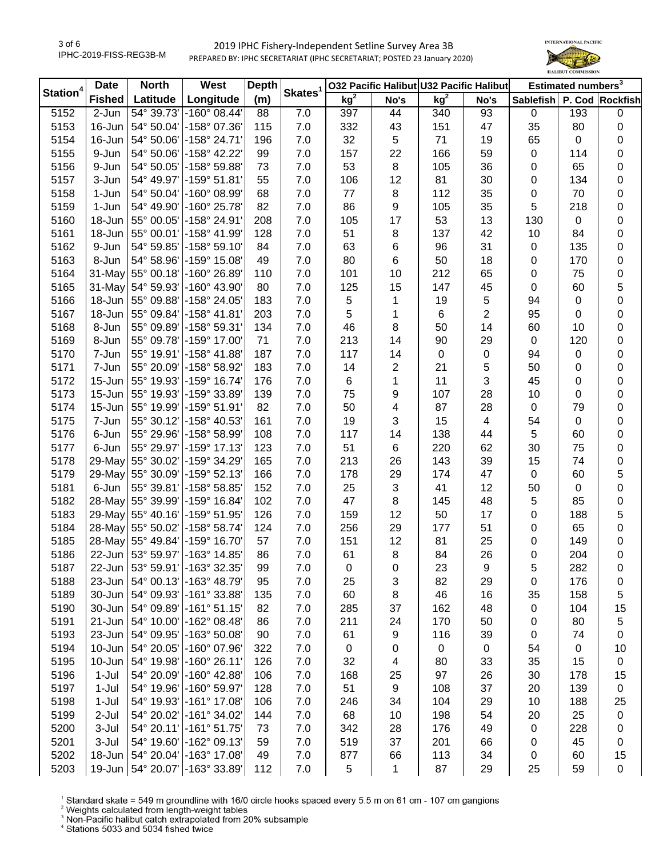

| Station <sup>4</sup> | <b>Date</b>   | <b>North</b>      | West                               | <b>Depth</b> |                     |                 |              | 032 Pacific Halibut U32 Pacific Halibut |                         | Estimated numbers <sup>3</sup> |             |                  |
|----------------------|---------------|-------------------|------------------------------------|--------------|---------------------|-----------------|--------------|-----------------------------------------|-------------------------|--------------------------------|-------------|------------------|
|                      | <b>Fished</b> | Latitude          | Longitude                          | (m)          | Skates <sup>1</sup> | kg <sup>2</sup> | No's         | kg <sup>2</sup>                         | No's                    | Sablefish P. Cod Rockfish      |             |                  |
| 5152                 | 2-Jun         | 54° 39.73'        | $-160^{\circ}$ 08.44'              | 88           | 7.0                 | 397             | 44           | 340                                     | 93                      | 0                              | 193         | $\pmb{0}$        |
| 5153                 | $16$ -Jun $ $ | 54° 50.04'        | -158° 07.36'                       | 115          | 7.0                 | 332             | 43           | 151                                     | 47                      | 35                             | 80          | $\boldsymbol{0}$ |
| 5154                 | 16-Jun        | 54° 50.06'        | -158° 24.71'                       | 196          | 7.0                 | 32              | 5            | 71                                      | 19                      | 65                             | 0           | $\pmb{0}$        |
| 5155                 | 9-Jun         | 54° 50.06'        | -158° 42.22'                       | 99           | 7.0                 | 157             | 22           | 166                                     | 59                      | 0                              | 114         | $\pmb{0}$        |
| 5156                 | 9-Jun         | 54° 50.05'        | -158° 59.88'                       | 73           | 7.0                 | 53              | 8            | 105                                     | 36                      | 0                              | 65          | $\pmb{0}$        |
| 5157                 | 3-Jun         | 54° 49.97'        | $-159°51.81'$                      | 55           | 7.0                 | 106             | 12           | 81                                      | 30                      | 0                              | 134         | $\pmb{0}$        |
| 5158                 | 1-Jun         | 54° 50.04'        | -160° 08.99'                       | 68           | 7.0                 | $77$            | 8            | 112                                     | 35                      | 0                              | 70          | 0                |
| 5159                 | 1-Jun         | 54° 49.90'        | -160° 25.78'                       | 82           | 7.0                 | 86              | 9            | 105                                     | 35                      | 5                              | 218         | $\pmb{0}$        |
| 5160                 | $18$ -Jun     | 55° 00.05'        | -158° 24.91'                       | 208          | 7.0                 | 105             | 17           | 53                                      | 13                      | 130                            | $\mathbf 0$ | $\pmb{0}$        |
| 5161                 |               | 18-Jun 55° 00.01' | -158° 41.99'                       | 128          | 7.0                 | 51              | 8            | 137                                     | 42                      | 10                             | 84          | $\pmb{0}$        |
| 5162                 | 9-Jun         | 54° 59.85'        | $-158^{\circ} 59.10'$              | 84           | 7.0                 | 63              | 6            | 96                                      | 31                      | 0                              | 135         | $\pmb{0}$        |
| 5163                 | 8-Jun         | 54° 58.96'        | -159° 15.08'                       | 49           | 7.0                 | 80              | 6            | 50                                      | 18                      | 0                              | 170         | $\pmb{0}$        |
| 5164                 | $31$ -May     | 55° 00.18'        | $-160^{\circ}$ 26.89               | 110          | 7.0                 | 101             | 10           | 212                                     | 65                      | 0                              | 75          | $\pmb{0}$        |
| 5165                 | $31$ -May     | 54° 59.93'        | $-160^{\circ}$ 43.90               | 80           | 7.0                 | 125             | 15           | 147                                     | 45                      | 0                              | 60          | 5                |
| 5166                 | $18$ -Jun     | 55° 09.88'        | -158° 24.05'                       | 183          | 7.0                 | 5               | 1            | 19                                      | $\sqrt{5}$              | 94                             | 0           | $\pmb{0}$        |
| 5167                 | $18$ -Jun     | 55° 09.84'        | -158° 41.81'                       | 203          | 7.0                 | 5               | 1            | 6                                       | $\sqrt{2}$              | 95                             | 0           | $\pmb{0}$        |
| 5168                 | 8-Jun         | 55° 09.89'        | -158° 59.31'                       | 134          | 7.0                 | 46              | 8            | 50                                      | 14                      | 60                             | 10          | $\pmb{0}$        |
| 5169                 | 8-Jun         | 55° 09.78'        | -159° 17.00'                       | 71           | 7.0                 | 213             | 14           | 90                                      | 29                      | $\mathbf 0$                    | 120         | 0                |
| 5170                 | 7-Jun         | 55° 19.91'        | -158° 41.88'                       | 187          | 7.0                 | 117             | 14           | $\mathbf 0$                             | $\pmb{0}$               | 94                             | 0           | $\pmb{0}$        |
| 5171                 | 7-Jun         | 55° 20.09'        | -158° 58.92'                       | 183          | 7.0                 | 14              | 2            | 21                                      | $\sqrt{5}$              | 50                             | 0           | 0                |
| 5172                 | $15 - Jun$    | 55° 19.93'        | -159° 16.74'                       | 176          | 7.0                 | 6               | 1            | 11                                      | $\mathbf{3}$            | 45                             | 0           | $\pmb{0}$        |
| 5173                 | 15-Jun        | 55° 19.93'        | -159° 33.89'                       | 139          | 7.0                 | 75              | 9            | 107                                     | 28                      | 10                             | 0           | 0                |
| 5174                 | $15$ -Jun     | 55° 19.99'        | -159° 51.91'                       | 82           | 7.0                 | 50              | 4            | 87                                      | 28                      | 0                              | 79          | 0                |
| 5175                 | 7-Jun         | 55° 30.12'        | -158° 40.53'                       | 161          | 7.0                 | 19              | 3            | 15                                      | $\overline{\mathbf{4}}$ | 54                             | $\mathbf 0$ | $\pmb{0}$        |
| 5176                 | 6-Jun         | 55° 29.96'        | -158° 58.99'                       | 108          | 7.0                 | 117             | 14           | 138                                     | 44                      | 5                              | 60          | $\pmb{0}$        |
| 5177                 | 6-Jun         | 55° 29.97'        | -159° 17.13'                       | 123          | 7.0                 | 51              | $\,6$        | 220                                     | 62                      | 30                             | 75          | $\boldsymbol{0}$ |
| 5178                 |               | 29-May 55° 30.02' | -159° 34.29'                       | 165          | 7.0                 | 213             | 26           | 143                                     | 39                      | 15                             | 74          | $\pmb{0}$        |
| 5179                 |               | 29-May 55° 30.09' | -159° 52.13'                       | 166          | 7.0                 | 178             | 29           | 174                                     | 47                      | $\mathbf 0$                    | 60          | 5                |
| 5181                 | 6-Jun         | 55° 39.81'        | $-158°58.85'$                      | 152          | 7.0                 | 25              | $\mathbf{3}$ | 41                                      | 12                      | 50                             | $\mathbf 0$ | $\boldsymbol{0}$ |
| 5182                 |               | 28-May 55° 39.99' | -159° 16.84'                       | 102          | 7.0                 | 47              | 8            | 145                                     | 48                      | 5                              | 85          | $\boldsymbol{0}$ |
| 5183                 | $29$ -May     | 55° 40.16'        | -159° 51.95                        | 126          | 7.0                 | 159             | 12           | 50                                      | 17                      | 0                              | 188         | 5                |
| 5184                 |               | 28-May 55° 50.02' | -158° 58.74'                       | 124          | 7.0                 | 256             | 29           | 177                                     | 51                      | 0                              | 65          | $\pmb{0}$        |
| 5185                 | $28$ -May     | 55° 49.84'        | -159° 16.70'                       | 57           | 7.0                 | 151             | 12           | 81                                      | 25                      | 0                              | 149         | $\pmb{0}$        |
| 5186                 |               | 22-Jun 53° 59.97' | -163° 14.85'                       | 86           | 7.0                 | 61              | 8            | 84                                      | 26                      | 0                              | 204         | $\boldsymbol{0}$ |
| 5187                 |               |                   | 22-Jun   53° 59.91'   -163° 32.35' | 99           | 7.0                 | 0               | 0            | 23                                      | 9                       | 5                              | 282         | 0                |
| 5188                 |               |                   | 23-Jun   54° 00.13' - 163° 48.79'  | 95           | 7.0                 | 25              | 3            | 82                                      | 29                      | 0                              | 176         | 0                |
| 5189                 |               | 30-Jun 54° 09.93' | -161° 33.88'                       | 135          | 7.0                 | 60              | 8            | 46                                      | 16                      | 35                             | 158         | 5                |
| 5190                 |               | 30-Jun 54° 09.89' | $-161°51.15'$                      | 82           | 7.0                 | 285             | 37           | 162                                     | 48                      | 0                              | 104         | 15               |
| 5191                 |               | 21-Jun 54° 10.00' | -162° 08.48'                       | 86           | 7.0                 | 211             | 24           | 170                                     | 50                      | 0                              | 80          | 5                |
| 5193                 |               | 23-Jun 54° 09.95' | -163° 50.08'                       | 90           | 7.0                 | 61              | 9            | 116                                     | 39                      | 0                              | 74          | 0                |
| 5194                 |               | 10-Jun 54° 20.05' | -160° 07.96'                       | 322          | 7.0                 | $\pmb{0}$       |              | $\mathbf 0$                             | $\mathsf 0$             | 54                             | 0           | 10               |
| 5195                 | $10$ -Jun     | 54° 19.98'        | $-160^{\circ}$ 26.11'              | 126          | 7.0                 | 32              | 0<br>4       | 80                                      | 33                      | 35                             | 15          | $\pmb{0}$        |
|                      |               |                   | -160° 42.88'                       |              |                     |                 |              |                                         |                         |                                |             |                  |
| 5196                 | $1-Jul$       | 54° 20.09'        |                                    | 106<br>128   | 7.0                 | 168             | 25           | 97                                      | 26                      | 30                             | 178         | 15               |
| 5197                 | $1-Jul$       | 54° 19.96'        | -160° 59.97'                       |              | 7.0                 | 51              | 9            | 108                                     | 37                      | 20                             | 139         | 0                |
| 5198                 | $1-Jul$       |                   | 54° 19.93' - 161° 17.08'           | 106          | 7.0                 | 246             | 34           | 104                                     | 29                      | 10                             | 188         | 25               |
| 5199                 | 2-Jul         | 54° 20.02'        | -161° 34.02'                       | 144          | 7.0                 | 68              | 10           | 198                                     | 54                      | 20                             | 25          | $\pmb{0}$        |
| 5200                 | 3-Jul         |                   | 54° 20.11' - 161° 51.75'           | 73           | 7.0                 | 342             | 28           | 176                                     | 49                      | 0                              | 228         | 0                |
| 5201                 | 3-Jul         | 54° 19.60'        | -162° 09.13'                       | 59           | 7.0                 | 519             | 37           | 201                                     | 66                      | 0                              | 45          | 0                |
| 5202                 |               |                   | 18-Jun   54° 20.04' - 163° 17.08'  | 49           | 7.0                 | 877             | 66           | 113                                     | 34                      | 0                              | 60          | 15               |
| 5203                 | $19$ -Jun     |                   | 54° 20.07' - 163° 33.89'           | 112          | 7.0                 | 5               | 1            | 87                                      | 29                      | 25                             | 59          | 0                |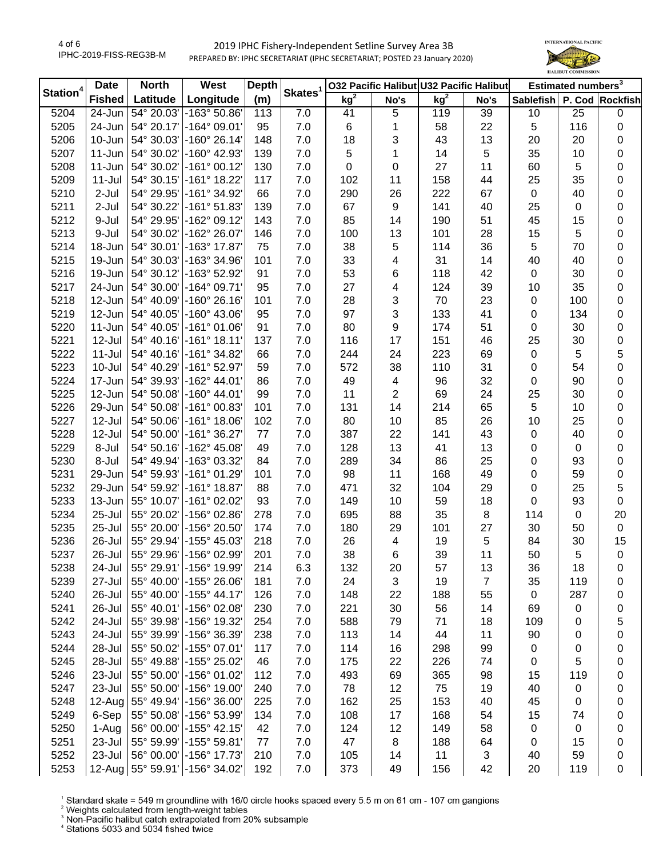

| kg <sup>2</sup><br>kg <sup>2</sup><br><b>Fished</b><br>Latitude<br>Longitude<br>(m)<br>Sablefish P. Cod Rockfish<br>No's<br>No's<br>5204<br>54° 20.03'<br>$-163°50.86'$<br>7.0<br>24-Jun<br>113<br>41<br>5<br>119<br>39<br>10<br>25<br>0<br>5205<br>$24$ -Jun<br>54° 20.17'<br>$-164^{\circ}$ 09.01<br>95<br>6<br>22<br>$\sqrt{5}$<br>116<br>7.0<br>1<br>58<br>0<br>5206<br>10-Jun<br>54° 30.03'<br>-160° 26.14'<br>7.0<br>18<br>3<br>43<br>13<br>20<br>20<br>148<br>0<br>5<br>5<br>5207<br>$11 - Jun$<br>54° 30.02'<br>-160° 42.93'<br>7.0<br>35<br>139<br>1<br>14<br>10<br>0<br>-161° 00.12'<br>5208<br>11-Jun<br>54° 30.02'<br>7.0<br>0<br>27<br>60<br>130<br>11<br>5<br>0<br>0<br>-161° 18.22'<br>5209<br>$11 -$ Jul<br>54° 30.15'<br>102<br>44<br>117<br>7.0<br>11<br>158<br>25<br>35<br>0<br>5210<br>$2-Jul$<br>54° 29.95'<br>-161° 34.92'<br>7.0<br>290<br>26<br>222<br>67<br>$\boldsymbol{0}$<br>66<br>40<br>0<br>5211<br>2-Jul<br>54° 30.22'<br>$-161°51.83'$<br>7.0<br>67<br>9<br>141<br>40<br>25<br>139<br>0<br>0<br>85<br>5212<br>54° 29.95'<br>$-162°09.12'$<br>7.0<br>14<br>51<br>45<br>9-Jul<br>143<br>190<br>15<br>0<br>5213<br>9-Jul<br>54° 30.02'<br>-162° 26.07'<br>13<br>101<br>28<br>15<br>5<br>146<br>7.0<br>100<br>0<br>5<br>5214<br>54° 30.01'<br>-163° 17.87'<br>75<br>7.0<br>38<br>5<br>114<br>36<br>0<br>18-Jun<br>70<br>5215<br>54° 30.03'<br>-163° 34.96'<br>7.0<br>33<br>4<br>31<br>14<br>40<br>19-Jun<br>101<br>40<br>0<br>53<br>5216<br>54° 30.12'<br>-163° 52.92'<br>91<br>7.0<br>6<br>118<br>42<br>$\boldsymbol{0}$<br>30<br>19-Jun<br>0<br>5217<br>24-Jun<br>54° 30.00'<br>$-164^{\circ}$ 09.71<br>95<br>7.0<br>27<br>4<br>124<br>39<br>10<br>35<br>0<br>3<br>5218<br>12-Jun<br>54° 40.09'<br>$-160^{\circ} 26.16$<br>7.0<br>28<br>70<br>23<br>101<br>0<br>100<br>0<br>97<br>3<br>5219<br>12-Jun<br>54° 40.05'<br>$-160^{\circ}$ 43.06<br>95<br>7.0<br>133<br>41<br>134<br>0<br>0<br>80<br>5220<br>11-Jun<br>54° 40.05'<br>$-161°01.06'$<br>7.0<br>9<br>174<br>51<br>91<br>0<br>30<br>0<br>5221<br>12-Jul<br>$-161°$ 18.11<br>116<br>17<br>25<br>54° 40.16'<br>137<br>7.0<br>151<br>46<br>30<br>0<br>$\sqrt{5}$<br>5222<br>$11 -$ Jul<br>54° 40.16'<br>$-161°34.82'$<br>244<br>24<br>223<br>69<br>0<br>66<br>7.0<br>5<br>5223<br>$10 -$ Jul<br>54° 40.29'<br>$-161°52.97'$<br>7.0<br>572<br>38<br>110<br>31<br>0<br>59<br>54<br>0<br>5224<br>17-Jun<br>54° 39.93'<br>-162° 44.01'<br>7.0<br>49<br>32<br>86<br>4<br>96<br>0<br>90<br>0<br>5225<br>12-Jun<br>54° 50.08'<br>$-160^{\circ}$ 44.01<br>7.0<br>11<br>2<br>24<br>25<br>99<br>69<br>30<br>0<br>5<br>5226<br>29-Jun<br>54° 50.08'<br>$-161°00.83'$<br>7.0<br>131<br>14<br>214<br>65<br>101<br>10<br>0<br>5227<br>12-Jul<br>54° 50.06'<br>$-161^{\circ}$ 18.06<br>7.0<br>80<br>10<br>85<br>26<br>10<br>25<br>102<br>0<br>5228<br>12-Jul<br>54° 50.00'<br>-161° 36.27'<br>387<br>22<br>43<br>77<br>7.0<br>141<br>0<br>40<br>0<br>5229<br>$-162^{\circ}$ 45.08<br>13<br>8-Jul<br>54° 50.16'<br>7.0<br>128<br>41<br>13<br>0<br>49<br>$\mathbf 0$<br>0<br>5230<br>8-Jul<br>54° 49.94'<br>-163° 03.32'<br>289<br>34<br>86<br>25<br>0<br>84<br>7.0<br>93<br>0<br>5231<br>54° 59.93'<br>$-161°01.29'$<br>7.0<br>98<br>11<br>168<br>49<br>0<br>59<br>$\pmb{0}$<br>29-Jun<br>101<br>32<br>5232<br>29-Jun<br>54° 59.92'<br>$-161^{\circ}$ 18.87<br>88<br>7.0<br>471<br>104<br>29<br>0<br>25<br>5<br>5233<br>$-161^{\circ}$ 02.02<br>10<br>13-Jun<br>55° 10.07'<br>93<br>7.0<br>149<br>59<br>18<br>0<br>93<br>$\pmb{0}$<br>5234<br>$25 -$ Jul<br>55° 20.02'<br>-156° 02.86'<br>278<br>7.0<br>695<br>88<br>35<br>8<br>114<br>20<br>0<br>5235<br>$25 -$ Jul<br>55° 20.00'<br>-156° 20.50'<br>174<br>7.0<br>180<br>29<br>27<br>30<br>$\pmb{0}$<br>101<br>50<br>5236<br>55° 29.94'<br>-155° 45.03'<br>218<br>7.0<br>26<br>19<br>5<br>84<br>15<br>26-Jul<br>4<br>30<br>38<br>5237<br>55° 29.96'<br>-156° 02.99<br>201<br>7.0<br>6<br>39<br>11<br>50<br>5<br>26-Jul<br>0<br>5238<br>24-Jul<br>55° 29.91' - 156° 19.99<br>214<br>6.3<br>132<br>20<br>57<br>13<br>36<br>18<br>0<br>-155° 26.06<br>3<br>$\overline{7}$<br>5239<br>27-Jul<br>55° 40.00'<br>181<br>7.0<br>24<br>19<br>35<br>119<br>0<br>26-Jul<br>-155° 44.17'<br>22<br>5240<br>55° 40.00'<br>126<br>7.0<br>148<br>188<br>0<br>287<br>55<br>0<br>5241<br>26-Jul<br>-156° 02.08'<br>7.0<br>30<br>55° 40.01'<br>230<br>221<br>56<br>14<br>0<br>69<br>0<br>24-Jul<br>-156° 19.32'<br>79<br>5242<br>55° 39.98'<br>254<br>7.0<br>588<br>71<br>18<br>109<br>5<br>0<br>5243<br>24-Jul<br>55° 39.99'<br>-156° 36.39'<br>7.0<br>113<br>90<br>238<br>14<br>44<br>11<br>0<br>0<br>5244<br>28-Jul<br>55° 50.02'<br>-155° 07.01<br>7.0<br>114<br>99<br>117<br>16<br>298<br>0<br>0<br>0<br>5<br>5245<br>28-Jul<br>-155° 25.02'<br>22<br>55° 49.88'<br>46<br>7.0<br>175<br>226<br>74<br>0<br>0<br>5246<br>23-Jul<br>-156° 01.02'<br>69<br>119<br>55° 50.00'<br>112<br>7.0<br>493<br>365<br>98<br>15<br>0<br>5247<br>23-Jul<br>55° 50.00'<br>$-156^{\circ}$ 19.00<br>7.0<br>78<br>12<br>19<br>40<br>240<br>75<br>0<br>0<br>5248<br>55° 49.94'<br>-156° 36.00'<br>$7.0$<br>162<br>25<br>40<br>45<br>12-Aug<br>225<br>153<br>0<br>0<br>5249<br>-156° 53.99'<br>17<br>168<br>54<br>6-Sep<br>55° 50.08'<br>134<br>7.0<br>108<br>15<br>74<br>0<br>5250<br>56° 00.00'<br>-155° 42.15'<br>12<br>0<br>1-Aug<br>42<br>7.0<br>124<br>149<br>58<br>0<br>0<br>5251<br>55° 59.99'<br>$-155^{\circ}59.81$<br>47<br>8<br>188<br>64<br>23-Jul<br>77<br>7.0<br>15<br>0<br>0 | Station <sup>4</sup> | <b>Date</b> | <b>North</b> | West | <b>Depth</b> | Skates <sup>1</sup> | 032 Pacific Halibut U32 Pacific Halibut |    |   | Estimated numbers <sup>3</sup> |  |  |
|------------------------------------------------------------------------------------------------------------------------------------------------------------------------------------------------------------------------------------------------------------------------------------------------------------------------------------------------------------------------------------------------------------------------------------------------------------------------------------------------------------------------------------------------------------------------------------------------------------------------------------------------------------------------------------------------------------------------------------------------------------------------------------------------------------------------------------------------------------------------------------------------------------------------------------------------------------------------------------------------------------------------------------------------------------------------------------------------------------------------------------------------------------------------------------------------------------------------------------------------------------------------------------------------------------------------------------------------------------------------------------------------------------------------------------------------------------------------------------------------------------------------------------------------------------------------------------------------------------------------------------------------------------------------------------------------------------------------------------------------------------------------------------------------------------------------------------------------------------------------------------------------------------------------------------------------------------------------------------------------------------------------------------------------------------------------------------------------------------------------------------------------------------------------------------------------------------------------------------------------------------------------------------------------------------------------------------------------------------------------------------------------------------------------------------------------------------------------------------------------------------------------------------------------------------------------------------------------------------------------------------------------------------------------------------------------------------------------------------------------------------------------------------------------------------------------------------------------------------------------------------------------------------------------------------------------------------------------------------------------------------------------------------------------------------------------------------------------------------------------------------------------------------------------------------------------------------------------------------------------------------------------------------------------------------------------------------------------------------------------------------------------------------------------------------------------------------------------------------------------------------------------------------------------------------------------------------------------------------------------------------------------------------------------------------------------------------------------------------------------------------------------------------------------------------------------------------------------------------------------------------------------------------------------------------------------------------------------------------------------------------------------------------------------------------------------------------------------------------------------------------------------------------------------------------------------------------------------------------------------------------------------------------------------------------------------------------------------------------------------------------------------------------------------------------------------------------------------------------------------------------------------------------------------------------------------------------------------------------------------------------------------------------------------------------------------------------------------------------------------------------------------------------------------------------------------------------------------------------------------------------------------------------------------------------------------------------------------------------------------------------------------------------------------------------------------------------------------------------------------------------------------------------------------------------------------------------------------------------------------------------------------------------------------------------------------------------------------------------------------------------------------------------------------------------------------------------------------------|----------------------|-------------|--------------|------|--------------|---------------------|-----------------------------------------|----|---|--------------------------------|--|--|
|                                                                                                                                                                                                                                                                                                                                                                                                                                                                                                                                                                                                                                                                                                                                                                                                                                                                                                                                                                                                                                                                                                                                                                                                                                                                                                                                                                                                                                                                                                                                                                                                                                                                                                                                                                                                                                                                                                                                                                                                                                                                                                                                                                                                                                                                                                                                                                                                                                                                                                                                                                                                                                                                                                                                                                                                                                                                                                                                                                                                                                                                                                                                                                                                                                                                                                                                                                                                                                                                                                                                                                                                                                                                                                                                                                                                                                                                                                                                                                                                                                                                                                                                                                                                                                                                                                                                                                                                                                                                                                                                                                                                                                                                                                                                                                                                                                                                                                                                                                                                                                                                                                                                                                                                                                                                                                                                                                                                                                                                              |                      |             |              |      |              |                     |                                         |    |   |                                |  |  |
|                                                                                                                                                                                                                                                                                                                                                                                                                                                                                                                                                                                                                                                                                                                                                                                                                                                                                                                                                                                                                                                                                                                                                                                                                                                                                                                                                                                                                                                                                                                                                                                                                                                                                                                                                                                                                                                                                                                                                                                                                                                                                                                                                                                                                                                                                                                                                                                                                                                                                                                                                                                                                                                                                                                                                                                                                                                                                                                                                                                                                                                                                                                                                                                                                                                                                                                                                                                                                                                                                                                                                                                                                                                                                                                                                                                                                                                                                                                                                                                                                                                                                                                                                                                                                                                                                                                                                                                                                                                                                                                                                                                                                                                                                                                                                                                                                                                                                                                                                                                                                                                                                                                                                                                                                                                                                                                                                                                                                                                                              |                      |             |              |      |              |                     |                                         |    |   |                                |  |  |
|                                                                                                                                                                                                                                                                                                                                                                                                                                                                                                                                                                                                                                                                                                                                                                                                                                                                                                                                                                                                                                                                                                                                                                                                                                                                                                                                                                                                                                                                                                                                                                                                                                                                                                                                                                                                                                                                                                                                                                                                                                                                                                                                                                                                                                                                                                                                                                                                                                                                                                                                                                                                                                                                                                                                                                                                                                                                                                                                                                                                                                                                                                                                                                                                                                                                                                                                                                                                                                                                                                                                                                                                                                                                                                                                                                                                                                                                                                                                                                                                                                                                                                                                                                                                                                                                                                                                                                                                                                                                                                                                                                                                                                                                                                                                                                                                                                                                                                                                                                                                                                                                                                                                                                                                                                                                                                                                                                                                                                                                              |                      |             |              |      |              |                     |                                         |    |   |                                |  |  |
|                                                                                                                                                                                                                                                                                                                                                                                                                                                                                                                                                                                                                                                                                                                                                                                                                                                                                                                                                                                                                                                                                                                                                                                                                                                                                                                                                                                                                                                                                                                                                                                                                                                                                                                                                                                                                                                                                                                                                                                                                                                                                                                                                                                                                                                                                                                                                                                                                                                                                                                                                                                                                                                                                                                                                                                                                                                                                                                                                                                                                                                                                                                                                                                                                                                                                                                                                                                                                                                                                                                                                                                                                                                                                                                                                                                                                                                                                                                                                                                                                                                                                                                                                                                                                                                                                                                                                                                                                                                                                                                                                                                                                                                                                                                                                                                                                                                                                                                                                                                                                                                                                                                                                                                                                                                                                                                                                                                                                                                                              |                      |             |              |      |              |                     |                                         |    |   |                                |  |  |
|                                                                                                                                                                                                                                                                                                                                                                                                                                                                                                                                                                                                                                                                                                                                                                                                                                                                                                                                                                                                                                                                                                                                                                                                                                                                                                                                                                                                                                                                                                                                                                                                                                                                                                                                                                                                                                                                                                                                                                                                                                                                                                                                                                                                                                                                                                                                                                                                                                                                                                                                                                                                                                                                                                                                                                                                                                                                                                                                                                                                                                                                                                                                                                                                                                                                                                                                                                                                                                                                                                                                                                                                                                                                                                                                                                                                                                                                                                                                                                                                                                                                                                                                                                                                                                                                                                                                                                                                                                                                                                                                                                                                                                                                                                                                                                                                                                                                                                                                                                                                                                                                                                                                                                                                                                                                                                                                                                                                                                                                              |                      |             |              |      |              |                     |                                         |    |   |                                |  |  |
|                                                                                                                                                                                                                                                                                                                                                                                                                                                                                                                                                                                                                                                                                                                                                                                                                                                                                                                                                                                                                                                                                                                                                                                                                                                                                                                                                                                                                                                                                                                                                                                                                                                                                                                                                                                                                                                                                                                                                                                                                                                                                                                                                                                                                                                                                                                                                                                                                                                                                                                                                                                                                                                                                                                                                                                                                                                                                                                                                                                                                                                                                                                                                                                                                                                                                                                                                                                                                                                                                                                                                                                                                                                                                                                                                                                                                                                                                                                                                                                                                                                                                                                                                                                                                                                                                                                                                                                                                                                                                                                                                                                                                                                                                                                                                                                                                                                                                                                                                                                                                                                                                                                                                                                                                                                                                                                                                                                                                                                                              |                      |             |              |      |              |                     |                                         |    |   |                                |  |  |
|                                                                                                                                                                                                                                                                                                                                                                                                                                                                                                                                                                                                                                                                                                                                                                                                                                                                                                                                                                                                                                                                                                                                                                                                                                                                                                                                                                                                                                                                                                                                                                                                                                                                                                                                                                                                                                                                                                                                                                                                                                                                                                                                                                                                                                                                                                                                                                                                                                                                                                                                                                                                                                                                                                                                                                                                                                                                                                                                                                                                                                                                                                                                                                                                                                                                                                                                                                                                                                                                                                                                                                                                                                                                                                                                                                                                                                                                                                                                                                                                                                                                                                                                                                                                                                                                                                                                                                                                                                                                                                                                                                                                                                                                                                                                                                                                                                                                                                                                                                                                                                                                                                                                                                                                                                                                                                                                                                                                                                                                              |                      |             |              |      |              |                     |                                         |    |   |                                |  |  |
|                                                                                                                                                                                                                                                                                                                                                                                                                                                                                                                                                                                                                                                                                                                                                                                                                                                                                                                                                                                                                                                                                                                                                                                                                                                                                                                                                                                                                                                                                                                                                                                                                                                                                                                                                                                                                                                                                                                                                                                                                                                                                                                                                                                                                                                                                                                                                                                                                                                                                                                                                                                                                                                                                                                                                                                                                                                                                                                                                                                                                                                                                                                                                                                                                                                                                                                                                                                                                                                                                                                                                                                                                                                                                                                                                                                                                                                                                                                                                                                                                                                                                                                                                                                                                                                                                                                                                                                                                                                                                                                                                                                                                                                                                                                                                                                                                                                                                                                                                                                                                                                                                                                                                                                                                                                                                                                                                                                                                                                                              |                      |             |              |      |              |                     |                                         |    |   |                                |  |  |
|                                                                                                                                                                                                                                                                                                                                                                                                                                                                                                                                                                                                                                                                                                                                                                                                                                                                                                                                                                                                                                                                                                                                                                                                                                                                                                                                                                                                                                                                                                                                                                                                                                                                                                                                                                                                                                                                                                                                                                                                                                                                                                                                                                                                                                                                                                                                                                                                                                                                                                                                                                                                                                                                                                                                                                                                                                                                                                                                                                                                                                                                                                                                                                                                                                                                                                                                                                                                                                                                                                                                                                                                                                                                                                                                                                                                                                                                                                                                                                                                                                                                                                                                                                                                                                                                                                                                                                                                                                                                                                                                                                                                                                                                                                                                                                                                                                                                                                                                                                                                                                                                                                                                                                                                                                                                                                                                                                                                                                                                              |                      |             |              |      |              |                     |                                         |    |   |                                |  |  |
|                                                                                                                                                                                                                                                                                                                                                                                                                                                                                                                                                                                                                                                                                                                                                                                                                                                                                                                                                                                                                                                                                                                                                                                                                                                                                                                                                                                                                                                                                                                                                                                                                                                                                                                                                                                                                                                                                                                                                                                                                                                                                                                                                                                                                                                                                                                                                                                                                                                                                                                                                                                                                                                                                                                                                                                                                                                                                                                                                                                                                                                                                                                                                                                                                                                                                                                                                                                                                                                                                                                                                                                                                                                                                                                                                                                                                                                                                                                                                                                                                                                                                                                                                                                                                                                                                                                                                                                                                                                                                                                                                                                                                                                                                                                                                                                                                                                                                                                                                                                                                                                                                                                                                                                                                                                                                                                                                                                                                                                                              |                      |             |              |      |              |                     |                                         |    |   |                                |  |  |
|                                                                                                                                                                                                                                                                                                                                                                                                                                                                                                                                                                                                                                                                                                                                                                                                                                                                                                                                                                                                                                                                                                                                                                                                                                                                                                                                                                                                                                                                                                                                                                                                                                                                                                                                                                                                                                                                                                                                                                                                                                                                                                                                                                                                                                                                                                                                                                                                                                                                                                                                                                                                                                                                                                                                                                                                                                                                                                                                                                                                                                                                                                                                                                                                                                                                                                                                                                                                                                                                                                                                                                                                                                                                                                                                                                                                                                                                                                                                                                                                                                                                                                                                                                                                                                                                                                                                                                                                                                                                                                                                                                                                                                                                                                                                                                                                                                                                                                                                                                                                                                                                                                                                                                                                                                                                                                                                                                                                                                                                              |                      |             |              |      |              |                     |                                         |    |   |                                |  |  |
|                                                                                                                                                                                                                                                                                                                                                                                                                                                                                                                                                                                                                                                                                                                                                                                                                                                                                                                                                                                                                                                                                                                                                                                                                                                                                                                                                                                                                                                                                                                                                                                                                                                                                                                                                                                                                                                                                                                                                                                                                                                                                                                                                                                                                                                                                                                                                                                                                                                                                                                                                                                                                                                                                                                                                                                                                                                                                                                                                                                                                                                                                                                                                                                                                                                                                                                                                                                                                                                                                                                                                                                                                                                                                                                                                                                                                                                                                                                                                                                                                                                                                                                                                                                                                                                                                                                                                                                                                                                                                                                                                                                                                                                                                                                                                                                                                                                                                                                                                                                                                                                                                                                                                                                                                                                                                                                                                                                                                                                                              |                      |             |              |      |              |                     |                                         |    |   |                                |  |  |
|                                                                                                                                                                                                                                                                                                                                                                                                                                                                                                                                                                                                                                                                                                                                                                                                                                                                                                                                                                                                                                                                                                                                                                                                                                                                                                                                                                                                                                                                                                                                                                                                                                                                                                                                                                                                                                                                                                                                                                                                                                                                                                                                                                                                                                                                                                                                                                                                                                                                                                                                                                                                                                                                                                                                                                                                                                                                                                                                                                                                                                                                                                                                                                                                                                                                                                                                                                                                                                                                                                                                                                                                                                                                                                                                                                                                                                                                                                                                                                                                                                                                                                                                                                                                                                                                                                                                                                                                                                                                                                                                                                                                                                                                                                                                                                                                                                                                                                                                                                                                                                                                                                                                                                                                                                                                                                                                                                                                                                                                              |                      |             |              |      |              |                     |                                         |    |   |                                |  |  |
|                                                                                                                                                                                                                                                                                                                                                                                                                                                                                                                                                                                                                                                                                                                                                                                                                                                                                                                                                                                                                                                                                                                                                                                                                                                                                                                                                                                                                                                                                                                                                                                                                                                                                                                                                                                                                                                                                                                                                                                                                                                                                                                                                                                                                                                                                                                                                                                                                                                                                                                                                                                                                                                                                                                                                                                                                                                                                                                                                                                                                                                                                                                                                                                                                                                                                                                                                                                                                                                                                                                                                                                                                                                                                                                                                                                                                                                                                                                                                                                                                                                                                                                                                                                                                                                                                                                                                                                                                                                                                                                                                                                                                                                                                                                                                                                                                                                                                                                                                                                                                                                                                                                                                                                                                                                                                                                                                                                                                                                                              |                      |             |              |      |              |                     |                                         |    |   |                                |  |  |
|                                                                                                                                                                                                                                                                                                                                                                                                                                                                                                                                                                                                                                                                                                                                                                                                                                                                                                                                                                                                                                                                                                                                                                                                                                                                                                                                                                                                                                                                                                                                                                                                                                                                                                                                                                                                                                                                                                                                                                                                                                                                                                                                                                                                                                                                                                                                                                                                                                                                                                                                                                                                                                                                                                                                                                                                                                                                                                                                                                                                                                                                                                                                                                                                                                                                                                                                                                                                                                                                                                                                                                                                                                                                                                                                                                                                                                                                                                                                                                                                                                                                                                                                                                                                                                                                                                                                                                                                                                                                                                                                                                                                                                                                                                                                                                                                                                                                                                                                                                                                                                                                                                                                                                                                                                                                                                                                                                                                                                                                              |                      |             |              |      |              |                     |                                         |    |   |                                |  |  |
|                                                                                                                                                                                                                                                                                                                                                                                                                                                                                                                                                                                                                                                                                                                                                                                                                                                                                                                                                                                                                                                                                                                                                                                                                                                                                                                                                                                                                                                                                                                                                                                                                                                                                                                                                                                                                                                                                                                                                                                                                                                                                                                                                                                                                                                                                                                                                                                                                                                                                                                                                                                                                                                                                                                                                                                                                                                                                                                                                                                                                                                                                                                                                                                                                                                                                                                                                                                                                                                                                                                                                                                                                                                                                                                                                                                                                                                                                                                                                                                                                                                                                                                                                                                                                                                                                                                                                                                                                                                                                                                                                                                                                                                                                                                                                                                                                                                                                                                                                                                                                                                                                                                                                                                                                                                                                                                                                                                                                                                                              |                      |             |              |      |              |                     |                                         |    |   |                                |  |  |
|                                                                                                                                                                                                                                                                                                                                                                                                                                                                                                                                                                                                                                                                                                                                                                                                                                                                                                                                                                                                                                                                                                                                                                                                                                                                                                                                                                                                                                                                                                                                                                                                                                                                                                                                                                                                                                                                                                                                                                                                                                                                                                                                                                                                                                                                                                                                                                                                                                                                                                                                                                                                                                                                                                                                                                                                                                                                                                                                                                                                                                                                                                                                                                                                                                                                                                                                                                                                                                                                                                                                                                                                                                                                                                                                                                                                                                                                                                                                                                                                                                                                                                                                                                                                                                                                                                                                                                                                                                                                                                                                                                                                                                                                                                                                                                                                                                                                                                                                                                                                                                                                                                                                                                                                                                                                                                                                                                                                                                                                              |                      |             |              |      |              |                     |                                         |    |   |                                |  |  |
|                                                                                                                                                                                                                                                                                                                                                                                                                                                                                                                                                                                                                                                                                                                                                                                                                                                                                                                                                                                                                                                                                                                                                                                                                                                                                                                                                                                                                                                                                                                                                                                                                                                                                                                                                                                                                                                                                                                                                                                                                                                                                                                                                                                                                                                                                                                                                                                                                                                                                                                                                                                                                                                                                                                                                                                                                                                                                                                                                                                                                                                                                                                                                                                                                                                                                                                                                                                                                                                                                                                                                                                                                                                                                                                                                                                                                                                                                                                                                                                                                                                                                                                                                                                                                                                                                                                                                                                                                                                                                                                                                                                                                                                                                                                                                                                                                                                                                                                                                                                                                                                                                                                                                                                                                                                                                                                                                                                                                                                                              |                      |             |              |      |              |                     |                                         |    |   |                                |  |  |
|                                                                                                                                                                                                                                                                                                                                                                                                                                                                                                                                                                                                                                                                                                                                                                                                                                                                                                                                                                                                                                                                                                                                                                                                                                                                                                                                                                                                                                                                                                                                                                                                                                                                                                                                                                                                                                                                                                                                                                                                                                                                                                                                                                                                                                                                                                                                                                                                                                                                                                                                                                                                                                                                                                                                                                                                                                                                                                                                                                                                                                                                                                                                                                                                                                                                                                                                                                                                                                                                                                                                                                                                                                                                                                                                                                                                                                                                                                                                                                                                                                                                                                                                                                                                                                                                                                                                                                                                                                                                                                                                                                                                                                                                                                                                                                                                                                                                                                                                                                                                                                                                                                                                                                                                                                                                                                                                                                                                                                                                              |                      |             |              |      |              |                     |                                         |    |   |                                |  |  |
|                                                                                                                                                                                                                                                                                                                                                                                                                                                                                                                                                                                                                                                                                                                                                                                                                                                                                                                                                                                                                                                                                                                                                                                                                                                                                                                                                                                                                                                                                                                                                                                                                                                                                                                                                                                                                                                                                                                                                                                                                                                                                                                                                                                                                                                                                                                                                                                                                                                                                                                                                                                                                                                                                                                                                                                                                                                                                                                                                                                                                                                                                                                                                                                                                                                                                                                                                                                                                                                                                                                                                                                                                                                                                                                                                                                                                                                                                                                                                                                                                                                                                                                                                                                                                                                                                                                                                                                                                                                                                                                                                                                                                                                                                                                                                                                                                                                                                                                                                                                                                                                                                                                                                                                                                                                                                                                                                                                                                                                                              |                      |             |              |      |              |                     |                                         |    |   |                                |  |  |
|                                                                                                                                                                                                                                                                                                                                                                                                                                                                                                                                                                                                                                                                                                                                                                                                                                                                                                                                                                                                                                                                                                                                                                                                                                                                                                                                                                                                                                                                                                                                                                                                                                                                                                                                                                                                                                                                                                                                                                                                                                                                                                                                                                                                                                                                                                                                                                                                                                                                                                                                                                                                                                                                                                                                                                                                                                                                                                                                                                                                                                                                                                                                                                                                                                                                                                                                                                                                                                                                                                                                                                                                                                                                                                                                                                                                                                                                                                                                                                                                                                                                                                                                                                                                                                                                                                                                                                                                                                                                                                                                                                                                                                                                                                                                                                                                                                                                                                                                                                                                                                                                                                                                                                                                                                                                                                                                                                                                                                                                              |                      |             |              |      |              |                     |                                         |    |   |                                |  |  |
|                                                                                                                                                                                                                                                                                                                                                                                                                                                                                                                                                                                                                                                                                                                                                                                                                                                                                                                                                                                                                                                                                                                                                                                                                                                                                                                                                                                                                                                                                                                                                                                                                                                                                                                                                                                                                                                                                                                                                                                                                                                                                                                                                                                                                                                                                                                                                                                                                                                                                                                                                                                                                                                                                                                                                                                                                                                                                                                                                                                                                                                                                                                                                                                                                                                                                                                                                                                                                                                                                                                                                                                                                                                                                                                                                                                                                                                                                                                                                                                                                                                                                                                                                                                                                                                                                                                                                                                                                                                                                                                                                                                                                                                                                                                                                                                                                                                                                                                                                                                                                                                                                                                                                                                                                                                                                                                                                                                                                                                                              |                      |             |              |      |              |                     |                                         |    |   |                                |  |  |
|                                                                                                                                                                                                                                                                                                                                                                                                                                                                                                                                                                                                                                                                                                                                                                                                                                                                                                                                                                                                                                                                                                                                                                                                                                                                                                                                                                                                                                                                                                                                                                                                                                                                                                                                                                                                                                                                                                                                                                                                                                                                                                                                                                                                                                                                                                                                                                                                                                                                                                                                                                                                                                                                                                                                                                                                                                                                                                                                                                                                                                                                                                                                                                                                                                                                                                                                                                                                                                                                                                                                                                                                                                                                                                                                                                                                                                                                                                                                                                                                                                                                                                                                                                                                                                                                                                                                                                                                                                                                                                                                                                                                                                                                                                                                                                                                                                                                                                                                                                                                                                                                                                                                                                                                                                                                                                                                                                                                                                                                              |                      |             |              |      |              |                     |                                         |    |   |                                |  |  |
|                                                                                                                                                                                                                                                                                                                                                                                                                                                                                                                                                                                                                                                                                                                                                                                                                                                                                                                                                                                                                                                                                                                                                                                                                                                                                                                                                                                                                                                                                                                                                                                                                                                                                                                                                                                                                                                                                                                                                                                                                                                                                                                                                                                                                                                                                                                                                                                                                                                                                                                                                                                                                                                                                                                                                                                                                                                                                                                                                                                                                                                                                                                                                                                                                                                                                                                                                                                                                                                                                                                                                                                                                                                                                                                                                                                                                                                                                                                                                                                                                                                                                                                                                                                                                                                                                                                                                                                                                                                                                                                                                                                                                                                                                                                                                                                                                                                                                                                                                                                                                                                                                                                                                                                                                                                                                                                                                                                                                                                                              |                      |             |              |      |              |                     |                                         |    |   |                                |  |  |
|                                                                                                                                                                                                                                                                                                                                                                                                                                                                                                                                                                                                                                                                                                                                                                                                                                                                                                                                                                                                                                                                                                                                                                                                                                                                                                                                                                                                                                                                                                                                                                                                                                                                                                                                                                                                                                                                                                                                                                                                                                                                                                                                                                                                                                                                                                                                                                                                                                                                                                                                                                                                                                                                                                                                                                                                                                                                                                                                                                                                                                                                                                                                                                                                                                                                                                                                                                                                                                                                                                                                                                                                                                                                                                                                                                                                                                                                                                                                                                                                                                                                                                                                                                                                                                                                                                                                                                                                                                                                                                                                                                                                                                                                                                                                                                                                                                                                                                                                                                                                                                                                                                                                                                                                                                                                                                                                                                                                                                                                              |                      |             |              |      |              |                     |                                         |    |   |                                |  |  |
|                                                                                                                                                                                                                                                                                                                                                                                                                                                                                                                                                                                                                                                                                                                                                                                                                                                                                                                                                                                                                                                                                                                                                                                                                                                                                                                                                                                                                                                                                                                                                                                                                                                                                                                                                                                                                                                                                                                                                                                                                                                                                                                                                                                                                                                                                                                                                                                                                                                                                                                                                                                                                                                                                                                                                                                                                                                                                                                                                                                                                                                                                                                                                                                                                                                                                                                                                                                                                                                                                                                                                                                                                                                                                                                                                                                                                                                                                                                                                                                                                                                                                                                                                                                                                                                                                                                                                                                                                                                                                                                                                                                                                                                                                                                                                                                                                                                                                                                                                                                                                                                                                                                                                                                                                                                                                                                                                                                                                                                                              |                      |             |              |      |              |                     |                                         |    |   |                                |  |  |
|                                                                                                                                                                                                                                                                                                                                                                                                                                                                                                                                                                                                                                                                                                                                                                                                                                                                                                                                                                                                                                                                                                                                                                                                                                                                                                                                                                                                                                                                                                                                                                                                                                                                                                                                                                                                                                                                                                                                                                                                                                                                                                                                                                                                                                                                                                                                                                                                                                                                                                                                                                                                                                                                                                                                                                                                                                                                                                                                                                                                                                                                                                                                                                                                                                                                                                                                                                                                                                                                                                                                                                                                                                                                                                                                                                                                                                                                                                                                                                                                                                                                                                                                                                                                                                                                                                                                                                                                                                                                                                                                                                                                                                                                                                                                                                                                                                                                                                                                                                                                                                                                                                                                                                                                                                                                                                                                                                                                                                                                              |                      |             |              |      |              |                     |                                         |    |   |                                |  |  |
|                                                                                                                                                                                                                                                                                                                                                                                                                                                                                                                                                                                                                                                                                                                                                                                                                                                                                                                                                                                                                                                                                                                                                                                                                                                                                                                                                                                                                                                                                                                                                                                                                                                                                                                                                                                                                                                                                                                                                                                                                                                                                                                                                                                                                                                                                                                                                                                                                                                                                                                                                                                                                                                                                                                                                                                                                                                                                                                                                                                                                                                                                                                                                                                                                                                                                                                                                                                                                                                                                                                                                                                                                                                                                                                                                                                                                                                                                                                                                                                                                                                                                                                                                                                                                                                                                                                                                                                                                                                                                                                                                                                                                                                                                                                                                                                                                                                                                                                                                                                                                                                                                                                                                                                                                                                                                                                                                                                                                                                                              |                      |             |              |      |              |                     |                                         |    |   |                                |  |  |
|                                                                                                                                                                                                                                                                                                                                                                                                                                                                                                                                                                                                                                                                                                                                                                                                                                                                                                                                                                                                                                                                                                                                                                                                                                                                                                                                                                                                                                                                                                                                                                                                                                                                                                                                                                                                                                                                                                                                                                                                                                                                                                                                                                                                                                                                                                                                                                                                                                                                                                                                                                                                                                                                                                                                                                                                                                                                                                                                                                                                                                                                                                                                                                                                                                                                                                                                                                                                                                                                                                                                                                                                                                                                                                                                                                                                                                                                                                                                                                                                                                                                                                                                                                                                                                                                                                                                                                                                                                                                                                                                                                                                                                                                                                                                                                                                                                                                                                                                                                                                                                                                                                                                                                                                                                                                                                                                                                                                                                                                              |                      |             |              |      |              |                     |                                         |    |   |                                |  |  |
|                                                                                                                                                                                                                                                                                                                                                                                                                                                                                                                                                                                                                                                                                                                                                                                                                                                                                                                                                                                                                                                                                                                                                                                                                                                                                                                                                                                                                                                                                                                                                                                                                                                                                                                                                                                                                                                                                                                                                                                                                                                                                                                                                                                                                                                                                                                                                                                                                                                                                                                                                                                                                                                                                                                                                                                                                                                                                                                                                                                                                                                                                                                                                                                                                                                                                                                                                                                                                                                                                                                                                                                                                                                                                                                                                                                                                                                                                                                                                                                                                                                                                                                                                                                                                                                                                                                                                                                                                                                                                                                                                                                                                                                                                                                                                                                                                                                                                                                                                                                                                                                                                                                                                                                                                                                                                                                                                                                                                                                                              |                      |             |              |      |              |                     |                                         |    |   |                                |  |  |
|                                                                                                                                                                                                                                                                                                                                                                                                                                                                                                                                                                                                                                                                                                                                                                                                                                                                                                                                                                                                                                                                                                                                                                                                                                                                                                                                                                                                                                                                                                                                                                                                                                                                                                                                                                                                                                                                                                                                                                                                                                                                                                                                                                                                                                                                                                                                                                                                                                                                                                                                                                                                                                                                                                                                                                                                                                                                                                                                                                                                                                                                                                                                                                                                                                                                                                                                                                                                                                                                                                                                                                                                                                                                                                                                                                                                                                                                                                                                                                                                                                                                                                                                                                                                                                                                                                                                                                                                                                                                                                                                                                                                                                                                                                                                                                                                                                                                                                                                                                                                                                                                                                                                                                                                                                                                                                                                                                                                                                                                              |                      |             |              |      |              |                     |                                         |    |   |                                |  |  |
|                                                                                                                                                                                                                                                                                                                                                                                                                                                                                                                                                                                                                                                                                                                                                                                                                                                                                                                                                                                                                                                                                                                                                                                                                                                                                                                                                                                                                                                                                                                                                                                                                                                                                                                                                                                                                                                                                                                                                                                                                                                                                                                                                                                                                                                                                                                                                                                                                                                                                                                                                                                                                                                                                                                                                                                                                                                                                                                                                                                                                                                                                                                                                                                                                                                                                                                                                                                                                                                                                                                                                                                                                                                                                                                                                                                                                                                                                                                                                                                                                                                                                                                                                                                                                                                                                                                                                                                                                                                                                                                                                                                                                                                                                                                                                                                                                                                                                                                                                                                                                                                                                                                                                                                                                                                                                                                                                                                                                                                                              |                      |             |              |      |              |                     |                                         |    |   |                                |  |  |
|                                                                                                                                                                                                                                                                                                                                                                                                                                                                                                                                                                                                                                                                                                                                                                                                                                                                                                                                                                                                                                                                                                                                                                                                                                                                                                                                                                                                                                                                                                                                                                                                                                                                                                                                                                                                                                                                                                                                                                                                                                                                                                                                                                                                                                                                                                                                                                                                                                                                                                                                                                                                                                                                                                                                                                                                                                                                                                                                                                                                                                                                                                                                                                                                                                                                                                                                                                                                                                                                                                                                                                                                                                                                                                                                                                                                                                                                                                                                                                                                                                                                                                                                                                                                                                                                                                                                                                                                                                                                                                                                                                                                                                                                                                                                                                                                                                                                                                                                                                                                                                                                                                                                                                                                                                                                                                                                                                                                                                                                              |                      |             |              |      |              |                     |                                         |    |   |                                |  |  |
|                                                                                                                                                                                                                                                                                                                                                                                                                                                                                                                                                                                                                                                                                                                                                                                                                                                                                                                                                                                                                                                                                                                                                                                                                                                                                                                                                                                                                                                                                                                                                                                                                                                                                                                                                                                                                                                                                                                                                                                                                                                                                                                                                                                                                                                                                                                                                                                                                                                                                                                                                                                                                                                                                                                                                                                                                                                                                                                                                                                                                                                                                                                                                                                                                                                                                                                                                                                                                                                                                                                                                                                                                                                                                                                                                                                                                                                                                                                                                                                                                                                                                                                                                                                                                                                                                                                                                                                                                                                                                                                                                                                                                                                                                                                                                                                                                                                                                                                                                                                                                                                                                                                                                                                                                                                                                                                                                                                                                                                                              |                      |             |              |      |              |                     |                                         |    |   |                                |  |  |
|                                                                                                                                                                                                                                                                                                                                                                                                                                                                                                                                                                                                                                                                                                                                                                                                                                                                                                                                                                                                                                                                                                                                                                                                                                                                                                                                                                                                                                                                                                                                                                                                                                                                                                                                                                                                                                                                                                                                                                                                                                                                                                                                                                                                                                                                                                                                                                                                                                                                                                                                                                                                                                                                                                                                                                                                                                                                                                                                                                                                                                                                                                                                                                                                                                                                                                                                                                                                                                                                                                                                                                                                                                                                                                                                                                                                                                                                                                                                                                                                                                                                                                                                                                                                                                                                                                                                                                                                                                                                                                                                                                                                                                                                                                                                                                                                                                                                                                                                                                                                                                                                                                                                                                                                                                                                                                                                                                                                                                                                              |                      |             |              |      |              |                     |                                         |    |   |                                |  |  |
|                                                                                                                                                                                                                                                                                                                                                                                                                                                                                                                                                                                                                                                                                                                                                                                                                                                                                                                                                                                                                                                                                                                                                                                                                                                                                                                                                                                                                                                                                                                                                                                                                                                                                                                                                                                                                                                                                                                                                                                                                                                                                                                                                                                                                                                                                                                                                                                                                                                                                                                                                                                                                                                                                                                                                                                                                                                                                                                                                                                                                                                                                                                                                                                                                                                                                                                                                                                                                                                                                                                                                                                                                                                                                                                                                                                                                                                                                                                                                                                                                                                                                                                                                                                                                                                                                                                                                                                                                                                                                                                                                                                                                                                                                                                                                                                                                                                                                                                                                                                                                                                                                                                                                                                                                                                                                                                                                                                                                                                                              |                      |             |              |      |              |                     |                                         |    |   |                                |  |  |
|                                                                                                                                                                                                                                                                                                                                                                                                                                                                                                                                                                                                                                                                                                                                                                                                                                                                                                                                                                                                                                                                                                                                                                                                                                                                                                                                                                                                                                                                                                                                                                                                                                                                                                                                                                                                                                                                                                                                                                                                                                                                                                                                                                                                                                                                                                                                                                                                                                                                                                                                                                                                                                                                                                                                                                                                                                                                                                                                                                                                                                                                                                                                                                                                                                                                                                                                                                                                                                                                                                                                                                                                                                                                                                                                                                                                                                                                                                                                                                                                                                                                                                                                                                                                                                                                                                                                                                                                                                                                                                                                                                                                                                                                                                                                                                                                                                                                                                                                                                                                                                                                                                                                                                                                                                                                                                                                                                                                                                                                              |                      |             |              |      |              |                     |                                         |    |   |                                |  |  |
|                                                                                                                                                                                                                                                                                                                                                                                                                                                                                                                                                                                                                                                                                                                                                                                                                                                                                                                                                                                                                                                                                                                                                                                                                                                                                                                                                                                                                                                                                                                                                                                                                                                                                                                                                                                                                                                                                                                                                                                                                                                                                                                                                                                                                                                                                                                                                                                                                                                                                                                                                                                                                                                                                                                                                                                                                                                                                                                                                                                                                                                                                                                                                                                                                                                                                                                                                                                                                                                                                                                                                                                                                                                                                                                                                                                                                                                                                                                                                                                                                                                                                                                                                                                                                                                                                                                                                                                                                                                                                                                                                                                                                                                                                                                                                                                                                                                                                                                                                                                                                                                                                                                                                                                                                                                                                                                                                                                                                                                                              |                      |             |              |      |              |                     |                                         |    |   |                                |  |  |
|                                                                                                                                                                                                                                                                                                                                                                                                                                                                                                                                                                                                                                                                                                                                                                                                                                                                                                                                                                                                                                                                                                                                                                                                                                                                                                                                                                                                                                                                                                                                                                                                                                                                                                                                                                                                                                                                                                                                                                                                                                                                                                                                                                                                                                                                                                                                                                                                                                                                                                                                                                                                                                                                                                                                                                                                                                                                                                                                                                                                                                                                                                                                                                                                                                                                                                                                                                                                                                                                                                                                                                                                                                                                                                                                                                                                                                                                                                                                                                                                                                                                                                                                                                                                                                                                                                                                                                                                                                                                                                                                                                                                                                                                                                                                                                                                                                                                                                                                                                                                                                                                                                                                                                                                                                                                                                                                                                                                                                                                              |                      |             |              |      |              |                     |                                         |    |   |                                |  |  |
|                                                                                                                                                                                                                                                                                                                                                                                                                                                                                                                                                                                                                                                                                                                                                                                                                                                                                                                                                                                                                                                                                                                                                                                                                                                                                                                                                                                                                                                                                                                                                                                                                                                                                                                                                                                                                                                                                                                                                                                                                                                                                                                                                                                                                                                                                                                                                                                                                                                                                                                                                                                                                                                                                                                                                                                                                                                                                                                                                                                                                                                                                                                                                                                                                                                                                                                                                                                                                                                                                                                                                                                                                                                                                                                                                                                                                                                                                                                                                                                                                                                                                                                                                                                                                                                                                                                                                                                                                                                                                                                                                                                                                                                                                                                                                                                                                                                                                                                                                                                                                                                                                                                                                                                                                                                                                                                                                                                                                                                                              |                      |             |              |      |              |                     |                                         |    |   |                                |  |  |
|                                                                                                                                                                                                                                                                                                                                                                                                                                                                                                                                                                                                                                                                                                                                                                                                                                                                                                                                                                                                                                                                                                                                                                                                                                                                                                                                                                                                                                                                                                                                                                                                                                                                                                                                                                                                                                                                                                                                                                                                                                                                                                                                                                                                                                                                                                                                                                                                                                                                                                                                                                                                                                                                                                                                                                                                                                                                                                                                                                                                                                                                                                                                                                                                                                                                                                                                                                                                                                                                                                                                                                                                                                                                                                                                                                                                                                                                                                                                                                                                                                                                                                                                                                                                                                                                                                                                                                                                                                                                                                                                                                                                                                                                                                                                                                                                                                                                                                                                                                                                                                                                                                                                                                                                                                                                                                                                                                                                                                                                              |                      |             |              |      |              |                     |                                         |    |   |                                |  |  |
|                                                                                                                                                                                                                                                                                                                                                                                                                                                                                                                                                                                                                                                                                                                                                                                                                                                                                                                                                                                                                                                                                                                                                                                                                                                                                                                                                                                                                                                                                                                                                                                                                                                                                                                                                                                                                                                                                                                                                                                                                                                                                                                                                                                                                                                                                                                                                                                                                                                                                                                                                                                                                                                                                                                                                                                                                                                                                                                                                                                                                                                                                                                                                                                                                                                                                                                                                                                                                                                                                                                                                                                                                                                                                                                                                                                                                                                                                                                                                                                                                                                                                                                                                                                                                                                                                                                                                                                                                                                                                                                                                                                                                                                                                                                                                                                                                                                                                                                                                                                                                                                                                                                                                                                                                                                                                                                                                                                                                                                                              |                      |             |              |      |              |                     |                                         |    |   |                                |  |  |
|                                                                                                                                                                                                                                                                                                                                                                                                                                                                                                                                                                                                                                                                                                                                                                                                                                                                                                                                                                                                                                                                                                                                                                                                                                                                                                                                                                                                                                                                                                                                                                                                                                                                                                                                                                                                                                                                                                                                                                                                                                                                                                                                                                                                                                                                                                                                                                                                                                                                                                                                                                                                                                                                                                                                                                                                                                                                                                                                                                                                                                                                                                                                                                                                                                                                                                                                                                                                                                                                                                                                                                                                                                                                                                                                                                                                                                                                                                                                                                                                                                                                                                                                                                                                                                                                                                                                                                                                                                                                                                                                                                                                                                                                                                                                                                                                                                                                                                                                                                                                                                                                                                                                                                                                                                                                                                                                                                                                                                                                              |                      |             |              |      |              |                     |                                         |    |   |                                |  |  |
|                                                                                                                                                                                                                                                                                                                                                                                                                                                                                                                                                                                                                                                                                                                                                                                                                                                                                                                                                                                                                                                                                                                                                                                                                                                                                                                                                                                                                                                                                                                                                                                                                                                                                                                                                                                                                                                                                                                                                                                                                                                                                                                                                                                                                                                                                                                                                                                                                                                                                                                                                                                                                                                                                                                                                                                                                                                                                                                                                                                                                                                                                                                                                                                                                                                                                                                                                                                                                                                                                                                                                                                                                                                                                                                                                                                                                                                                                                                                                                                                                                                                                                                                                                                                                                                                                                                                                                                                                                                                                                                                                                                                                                                                                                                                                                                                                                                                                                                                                                                                                                                                                                                                                                                                                                                                                                                                                                                                                                                                              |                      |             |              |      |              |                     |                                         |    |   |                                |  |  |
|                                                                                                                                                                                                                                                                                                                                                                                                                                                                                                                                                                                                                                                                                                                                                                                                                                                                                                                                                                                                                                                                                                                                                                                                                                                                                                                                                                                                                                                                                                                                                                                                                                                                                                                                                                                                                                                                                                                                                                                                                                                                                                                                                                                                                                                                                                                                                                                                                                                                                                                                                                                                                                                                                                                                                                                                                                                                                                                                                                                                                                                                                                                                                                                                                                                                                                                                                                                                                                                                                                                                                                                                                                                                                                                                                                                                                                                                                                                                                                                                                                                                                                                                                                                                                                                                                                                                                                                                                                                                                                                                                                                                                                                                                                                                                                                                                                                                                                                                                                                                                                                                                                                                                                                                                                                                                                                                                                                                                                                                              |                      |             |              |      |              |                     |                                         |    |   |                                |  |  |
|                                                                                                                                                                                                                                                                                                                                                                                                                                                                                                                                                                                                                                                                                                                                                                                                                                                                                                                                                                                                                                                                                                                                                                                                                                                                                                                                                                                                                                                                                                                                                                                                                                                                                                                                                                                                                                                                                                                                                                                                                                                                                                                                                                                                                                                                                                                                                                                                                                                                                                                                                                                                                                                                                                                                                                                                                                                                                                                                                                                                                                                                                                                                                                                                                                                                                                                                                                                                                                                                                                                                                                                                                                                                                                                                                                                                                                                                                                                                                                                                                                                                                                                                                                                                                                                                                                                                                                                                                                                                                                                                                                                                                                                                                                                                                                                                                                                                                                                                                                                                                                                                                                                                                                                                                                                                                                                                                                                                                                                                              |                      |             |              |      |              |                     |                                         |    |   |                                |  |  |
|                                                                                                                                                                                                                                                                                                                                                                                                                                                                                                                                                                                                                                                                                                                                                                                                                                                                                                                                                                                                                                                                                                                                                                                                                                                                                                                                                                                                                                                                                                                                                                                                                                                                                                                                                                                                                                                                                                                                                                                                                                                                                                                                                                                                                                                                                                                                                                                                                                                                                                                                                                                                                                                                                                                                                                                                                                                                                                                                                                                                                                                                                                                                                                                                                                                                                                                                                                                                                                                                                                                                                                                                                                                                                                                                                                                                                                                                                                                                                                                                                                                                                                                                                                                                                                                                                                                                                                                                                                                                                                                                                                                                                                                                                                                                                                                                                                                                                                                                                                                                                                                                                                                                                                                                                                                                                                                                                                                                                                                                              |                      |             |              |      |              |                     |                                         |    |   |                                |  |  |
|                                                                                                                                                                                                                                                                                                                                                                                                                                                                                                                                                                                                                                                                                                                                                                                                                                                                                                                                                                                                                                                                                                                                                                                                                                                                                                                                                                                                                                                                                                                                                                                                                                                                                                                                                                                                                                                                                                                                                                                                                                                                                                                                                                                                                                                                                                                                                                                                                                                                                                                                                                                                                                                                                                                                                                                                                                                                                                                                                                                                                                                                                                                                                                                                                                                                                                                                                                                                                                                                                                                                                                                                                                                                                                                                                                                                                                                                                                                                                                                                                                                                                                                                                                                                                                                                                                                                                                                                                                                                                                                                                                                                                                                                                                                                                                                                                                                                                                                                                                                                                                                                                                                                                                                                                                                                                                                                                                                                                                                                              |                      |             |              |      |              |                     |                                         |    |   |                                |  |  |
|                                                                                                                                                                                                                                                                                                                                                                                                                                                                                                                                                                                                                                                                                                                                                                                                                                                                                                                                                                                                                                                                                                                                                                                                                                                                                                                                                                                                                                                                                                                                                                                                                                                                                                                                                                                                                                                                                                                                                                                                                                                                                                                                                                                                                                                                                                                                                                                                                                                                                                                                                                                                                                                                                                                                                                                                                                                                                                                                                                                                                                                                                                                                                                                                                                                                                                                                                                                                                                                                                                                                                                                                                                                                                                                                                                                                                                                                                                                                                                                                                                                                                                                                                                                                                                                                                                                                                                                                                                                                                                                                                                                                                                                                                                                                                                                                                                                                                                                                                                                                                                                                                                                                                                                                                                                                                                                                                                                                                                                                              |                      |             |              |      |              |                     |                                         |    |   |                                |  |  |
| -156° 17.73′<br>23-Jul<br>210<br>105<br>14<br>40<br>0                                                                                                                                                                                                                                                                                                                                                                                                                                                                                                                                                                                                                                                                                                                                                                                                                                                                                                                                                                                                                                                                                                                                                                                                                                                                                                                                                                                                                                                                                                                                                                                                                                                                                                                                                                                                                                                                                                                                                                                                                                                                                                                                                                                                                                                                                                                                                                                                                                                                                                                                                                                                                                                                                                                                                                                                                                                                                                                                                                                                                                                                                                                                                                                                                                                                                                                                                                                                                                                                                                                                                                                                                                                                                                                                                                                                                                                                                                                                                                                                                                                                                                                                                                                                                                                                                                                                                                                                                                                                                                                                                                                                                                                                                                                                                                                                                                                                                                                                                                                                                                                                                                                                                                                                                                                                                                                                                                                                                        | 5252                 |             | 56° 00.00'   |      |              | 7.0                 |                                         | 11 | 3 | 59                             |  |  |
| 5253<br>12-Aug 55° 59.91' - 156° 34.02'<br>192<br>7.0<br>373<br>42<br>20<br>119<br>49<br>156<br>0                                                                                                                                                                                                                                                                                                                                                                                                                                                                                                                                                                                                                                                                                                                                                                                                                                                                                                                                                                                                                                                                                                                                                                                                                                                                                                                                                                                                                                                                                                                                                                                                                                                                                                                                                                                                                                                                                                                                                                                                                                                                                                                                                                                                                                                                                                                                                                                                                                                                                                                                                                                                                                                                                                                                                                                                                                                                                                                                                                                                                                                                                                                                                                                                                                                                                                                                                                                                                                                                                                                                                                                                                                                                                                                                                                                                                                                                                                                                                                                                                                                                                                                                                                                                                                                                                                                                                                                                                                                                                                                                                                                                                                                                                                                                                                                                                                                                                                                                                                                                                                                                                                                                                                                                                                                                                                                                                                            |                      |             |              |      |              |                     |                                         |    |   |                                |  |  |

<sup>1</sup> Standard skate = 549 m groundline with 16/0 circle hooks spaced every 5.5 m on 61 cm - 107 cm gangions <sup>2</sup> Weights calculated from length-weight tables<br><sup>2</sup> Weights calculated from length-weight tables<br><sup>3</sup> Non-Pacific

<sup>4</sup> Stations 5033 and 5034 fished twice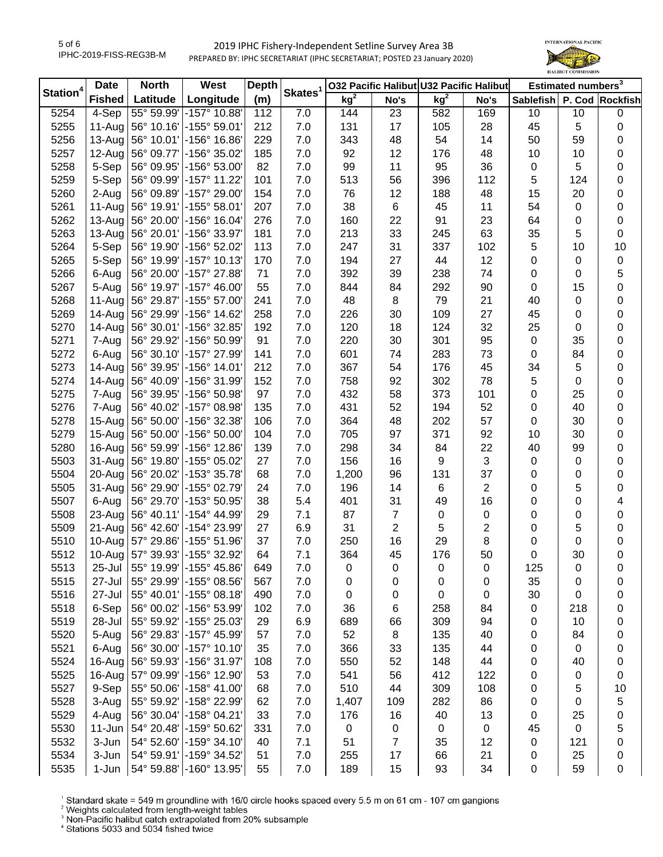

| Station <sup>4</sup> | <b>Date</b>   | <b>North</b>                 | West                      | <b>Depth</b> |                     | 032 Pacific Halibut U32 Pacific Halibut |      |             |                | Estimated numbers <sup>3</sup> |     |                  |
|----------------------|---------------|------------------------------|---------------------------|--------------|---------------------|-----------------------------------------|------|-------------|----------------|--------------------------------|-----|------------------|
|                      | <b>Fished</b> | Latitude                     | Longitude                 | (m)          | Skates <sup>1</sup> | kg <sup>2</sup>                         | No's | $kg^2$      | No's           | Sablefish P. Cod Rockfish      |     |                  |
| 5254                 | $4-Sep$       | 55° 59.99'                   | -157° 10.88'              | 112          | 7.0                 | 144                                     | 23   | 582         | 169            | 10                             | 10  | $\pmb{0}$        |
| 5255                 | 11-Aug        |                              | 56° 10.16'   -155° 59.01' | 212          | 7.0                 | 131                                     | 17   | 105         | 28             | 45                             | 5   | $\pmb{0}$        |
| 5256                 | $13-Auq$      |                              | 56° 10.01' - 156° 16.86'  | 229          | 7.0                 | 343                                     | 48   | 54          | 14             | 50                             | 59  | 0                |
| 5257                 | 12-Aug        | 56° 09.77'                   | -156° 35.02'              | 185          | 7.0                 | 92                                      | 12   | 176         | 48             | 10                             | 10  | 0                |
| 5258                 | 5-Sep         | 56° 09.95'                   | -156° 53.00'              | 82           | 7.0                 | 99                                      | 11   | 95          | 36             | 0                              | 5   | 0                |
| 5259                 | 5-Sep         | 56° 09.99'                   | $-157°$ 11.22             | 101          | 7.0                 | 513                                     | 56   | 396         | 112            | 5                              | 124 | 0                |
| 5260                 | 2-Aug         | 56° 09.89'                   | -157° 29.00'              | 154          | 7.0                 | 76                                      | 12   | 188         | 48             | 15                             | 20  | 0                |
| 5261                 | $11-Auq$      | 56° 19.91'                   | $-155^{\circ} 58.01$      | 207          | 7.0                 | 38                                      | 6    | 45          | 11             | 54                             | 0   | $\pmb{0}$        |
| 5262                 | 13-Aug        | 56° 20.00'                   | -156° 16.04'              | 276          | 7.0                 | 160                                     | 22   | 91          | 23             | 64                             | 0   | $\pmb{0}$        |
| 5263                 | 13-Aug        | 56° 20.01'                   | -156° 33.97'              | 181          | 7.0                 | 213                                     | 33   | 245         | 63             | 35                             | 5   | $\boldsymbol{0}$ |
| 5264                 | 5-Sep         | 56° 19.90'                   | -156° 52.02'              | 113          | 7.0                 | 247                                     | 31   | 337         | 102            | 5                              | 10  | 10               |
| 5265                 | 5-Sep         | 56° 19.99'                   | $\sim$ 157° 10.13'        | 170          | 7.0                 | 194                                     | 27   | 44          | 12             | 0                              | 0   | $\pmb{0}$        |
| 5266                 | 6-Aug         | 56° 20.00'                   | -157° 27.88′              | 71           | 7.0                 | 392                                     | 39   | 238         | 74             | 0                              | 0   | 5                |
| 5267                 | 5-Aug         | 56° 19.97'                   | -157° 46.00'              | 55           | 7.0                 | 844                                     | 84   | 292         | 90             | 0                              | 15  | $\boldsymbol{0}$ |
| 5268                 | 11-Aug        | 56° 29.87'                   | -155° 57.00'              | 241          | 7.0                 | 48                                      | 8    | 79          | 21             | 40                             | 0   | $\pmb{0}$        |
| 5269                 | 14-Aug        | 56° 29.99'                   | -156° 14.62               | 258          | 7.0                 | 226                                     | 30   | 109         | 27             | 45                             | 0   | $\pmb{0}$        |
| 5270                 | 14-Aug        | $ 56^{\circ} 30.01^{\circ} $ | 156° 32.85°               | 192          | 7.0                 | 120                                     | 18   | 124         | 32             | 25                             | 0   | $\pmb{0}$        |
| 5271                 | 7-Aug         | 56° 29.92'                   | $\,$ -156° 50.99'         | 91           | 7.0                 | 220                                     | 30   | 301         | 95             | 0                              | 35  | $\pmb{0}$        |
| 5272                 | 6-Aug         |                              | 56° 30.10' - 157° 27.99'  | 141          | 7.0                 | 601                                     | 74   | 283         | 73             | 0                              | 84  | 0                |
| 5273                 | 14-Aug        | 56° 39.95'                   | -156° 14.01′              | 212          | 7.0                 | 367                                     | 54   | 176         | 45             | 34                             | 5   | 0                |
| 5274                 | 14-Aug        | 56° 40.09'                   | -156° 31.99'              | 152          | 7.0                 | 758                                     | 92   | 302         | 78             | 5                              | 0   | 0                |
| 5275                 | 7-Aug         | 56° 39.95'                   | -156° 50.98'              | 97           | 7.0                 | 432                                     | 58   | 373         | 101            | 0                              | 25  | 0                |
| 5276                 | 7-Aug         | 56° 40.02'                   | -157° 08.98'              | 135          | 7.0                 | 431                                     | 52   | 194         | 52             | 0                              | 40  | 0                |
| 5278                 | $15-Au$ g     | 56° 50.00'                   | -156° 32.38′              | 106          | 7.0                 | 364                                     | 48   | 202         | 57             | 0                              | 30  | $\pmb{0}$        |
| 5279                 | 15-Aug        | 56°50.00'                    | $\mid$ -156° 50.00'       | 104          | 7.0                 | 705                                     | 97   | 371         | 92             | 10                             | 30  | 0                |
| 5280                 | 16-Aug        | 56° 59.99'                   | -156° 12.86'              | 139          | 7.0                 | 298                                     | 34   | 84          | 22             | 40                             | 99  | $\pmb{0}$        |
| 5503                 | 31-Aug        | 56° 19.80'                   | $-155^{\circ}$ 05.02'     | 27           | 7.0                 | 156                                     | 16   | 9           | 3              | 0                              | 0   | $\pmb{0}$        |
| 5504                 | 20-Aug        | 56° 20.02'                   | $\vert$ -153° 35.78'      | 68           | 7.0                 | 1,200                                   | 96   | 131         | 37             | 0                              | 0   | $\pmb{0}$        |
| 5505                 | 31-Aug        |                              | 56° 29.90' - 155° 02.79'  | 24           | 7.0                 | 196                                     | 14   | 6           | $\overline{2}$ | 0                              | 5   | $\pmb{0}$        |
| 5507                 | 6-Aug         | 56° 29.70'                   | $ -153^{\circ}$ 50.95'    | 38           | 5.4                 | 401                                     | 31   | 49          | 16             | 0                              | 0   | 4                |
| 5508                 | 23-Aug        | $ 56^\circ 40.11^\circ $     | 154° 44.99∣−              | 29           | 7.1                 | 87                                      | 7    | $\mathbf 0$ | $\pmb{0}$      | 0                              | 0   | $\boldsymbol{0}$ |
| 5509                 | 21-Aug        |                              | 56° 42.60'   -154° 23.99' | 27           | 6.9                 | 31                                      | 2    | 5           | $\overline{c}$ | 0                              | 5   | 0                |
| 5510                 | $10 - Aug$    | 57° 29.86'                   | $\mid$ -155° 51.96'       | 37           | 7.0                 | 250                                     | 16   | 29          | 8              | 0                              | 0   | $\pmb{0}$        |
| 5512                 | 10-Aug        |                              | 57° 39.93'   -155° 32.92' | 64           | 7.1                 | 364                                     | 45   | 176         | 50             | 0                              | 30  | $\boldsymbol{0}$ |
| 5513                 | 25-Jul        |                              | 55° 19.99' - 155° 45.86'  | 649          | 7.0                 | 0                                       | 0    | 0           | 0              | 125                            | 0   | 0                |
| 5515                 | 27-Jul        |                              | 55° 29.99' - 155° 08.56'  | 567          | 7.0                 | 0                                       | 0    | 0           | 0              | 35                             | 0   | 0                |
| 5516                 | 27-Jul        | 55° 40.01'                   | $\mid$ -155° 08.18'       | 490          | 7.0                 | 0                                       | 0    | 0           | 0              | 30                             | 0   | 0                |
| 5518                 | 6-Sep         | 56° 00.02'                   | -156° 53.99'              | 102          | 7.0                 | 36                                      | 6    | 258         | 84             | 0                              | 218 | 0                |
| 5519                 | 28-Jul        | 55° 59.92'                   | -155° 25.03'              | 29           | 6.9                 | 689                                     | 66   | 309         | 94             | 0                              | 10  | 0                |
| 5520                 | 5-Aug         | 56° 29.83'                   | -157° 45.99'              | 57           | 7.0                 | 52                                      | 8    | 135         | 40             | 0                              | 84  | 0                |
| 5521                 | 6-Aug         | 56° 30.00'                   | -157° 10.10'              | 35           | 7.0                 | 366                                     | 33   | 135         | 44             | 0                              | 0   | 0                |
| 5524                 | 16-Aug        | 56° 59.93'                   | -156° 31.97'              | 108          | 7.0                 | 550                                     | 52   | 148         | 44             | 0                              | 40  | 0                |
| 5525                 | 16-Aug        |                              | 57° 09.99' -156° 12.90'   | 53           | 7.0                 | 541                                     | 56   | 412         | 122            | 0                              | 0   | $\pmb{0}$        |
| 5527                 | 9-Sep         |                              | 55° 50.06' -158° 41.00'   | 68           | 7.0                 | 510                                     | 44   | 309         | 108            | 0                              | 5   | 10               |
| 5528                 | 3-Aug         | 55° 59.92'                   | -158° 22.99'              | 62           | 7.0                 | 1,407                                   | 109  | 282         | 86             | 0                              | 0   | 5                |
| 5529                 | 4-Aug         |                              | 56° 30.04' - 158° 04.21'  | 33           | 7.0                 | 176                                     | 16   | 40          | 13             | 0                              | 25  | 0                |
| 5530                 | $11 - Jun$    |                              | 54° 20.48' - 159° 50.62'  | 331          | 7.0                 | 0                                       | 0    | 0           | 0              | 45                             | 0   | 5                |
| 5532                 | 3-Jun         |                              | 54° 52.60' - 159° 34.10'  | 40           | 7.1                 | 51                                      | 7    | 35          | 12             | 0                              | 121 | 0                |
| 5534                 | 3-Jun         |                              | 54° 59.91' - 159° 34.52'  | 51           | 7.0                 | 255                                     | 17   | 66          | 21             | 0                              | 25  | 0                |
| 5535                 | 1-Jun         |                              | 54° 59.88' -160° 13.95'   | 55           | 7.0                 | 189                                     | 15   | 93          | 34             | 0                              | 59  | 0                |